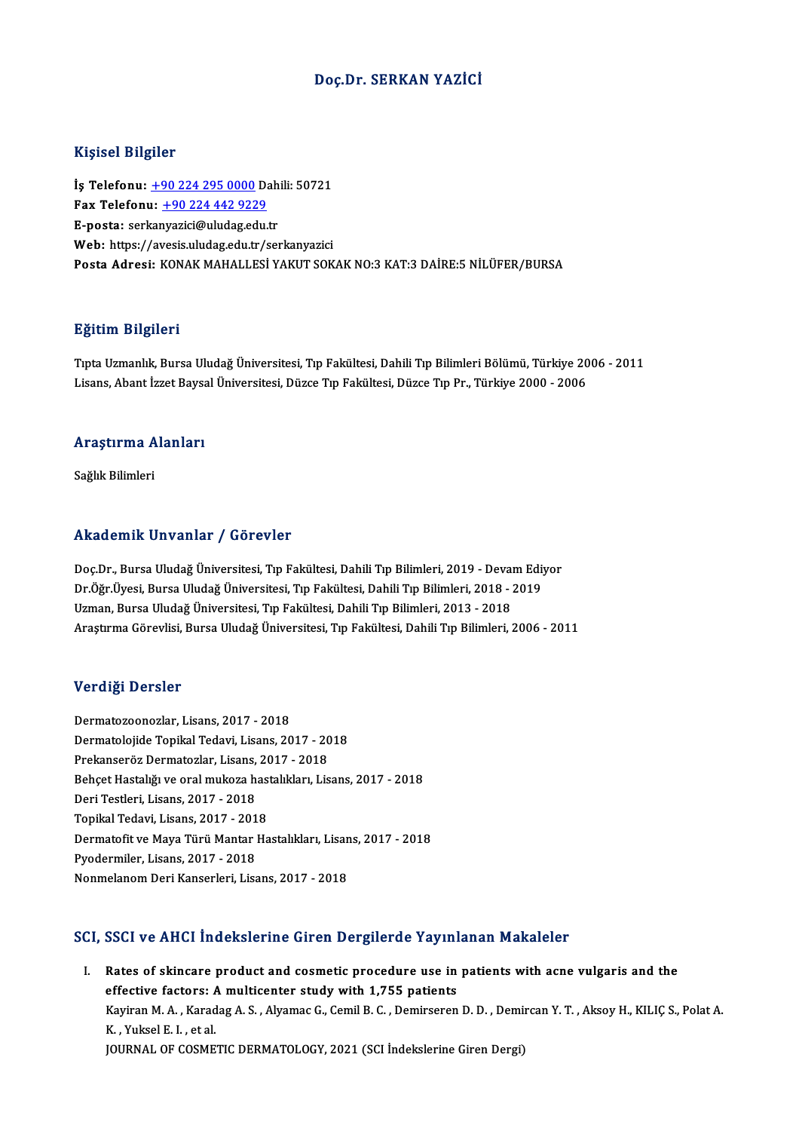### Doç.Dr. SERKAN YAZİCİ

### Kişisel Bilgiler

Kişisel Bilgiler<br>İş Telefonu: <u>+90 224 295 0000</u> Dahili: 50721<br>Fax Telefonu: 190 334 443 9329 1133001 2115101<br>İş Telefonu: <u>+90 224 295 0000</u> Da<br>Fax Telefonu: <u>+90 224 442 9229</u><br>Fansta: serkanyarisi@uludas.edu t İş Telefonu: <u>+90 224 295 0000</u> Dah<br>Fax Telefonu: <u>+90 224 442 9229</u><br>E-posta: ser[kan](tel:+90 224 295 0000)[yazici@uludag.edu](tel:+90 224 442 9229).tr<br>Web: https://ayosis.uludag.edu.tr/sei Fax Telefonu: <u>+90 224 442 9229</u><br>E-posta: serkanyazici@uludag.edu.tr<br>Web: https://avesis.uludag.edu.tr/serkanyazici Posta Adresi: KONAK MAHALLESİ YAKUT SOKAK NO:3 KAT:3 DAİRE:5 NİLÜFER/BURSA

### Eğitim Bilgileri

**Eğitim Bilgileri**<br>Tıpta Uzmanlık, Bursa Uludağ Üniversitesi, Tıp Fakültesi, Dahili Tıp Bilimleri Bölümü, Türkiye 2006 - 2011<br>Lisans, Abant İszat Baycal Üniversitesi, Düzee Tın Fakültesi, Düzee Tın Pız, Türkiye 2000, 2006 Lisaans, Lagaseaa<br>Tıpta Uzmanlık, Bursa Uludağ Üniversitesi, Tıp Fakültesi, Dahili Tıp Bilimleri Bölümü, Türkiye 20<br>Lisans, Abant İzzet Baysal Üniversitesi, Düzce Tıp Fakültesi, Düzce Tıp Pr., Türkiye 2000 - 2006

## Lısans, Abant izzet baysa<br>Araştırma Alanları <mark>Araştırma A</mark><br>Sağlık Bilimleri

# Akademik Unvanlar / Görevler

Doç.Dr., Bursa Uludağ Üniversitesi, Tıp Fakültesi, Dahili Tıp Bilimleri, 2019 - Devam Ediyor Dr.Öğr.Üyesi, Bursa Uludağ Üniversitesi, Tıp Fakültesi, Dahili Tıp Bilimleri, 2018 - 2019 Uzman, Bursa Uludağ Üniversitesi, Tıp Fakültesi, Dahili Tıp Bilimleri, 2013 - 2018 AraştırmaGörevlisi,BursaUludağÜniversitesi,Tıp Fakültesi,DahiliTıpBilimleri,2006 -2011

### Verdiği Dersler

Dermatozoonozlar, Lisans, 2017 - 2018 ver digi Derbier<br>Dermatozoonozlar, Lisans, 2017 - 2018<br>Dermatolojide Topikal Tedavi, Lisans, 2017 - 2018<br>Prekansenäs Dermateskar, Lisans, 2017 - 2018 Dermatozoonozlar, Lisans, 2017 - 2018<br>Dermatolojide Topikal Tedavi, Lisans, 2017 - 20<br>Prekanseröz Dermatozlar, Lisans, 2017 - 2018<br>Beheet Hestakžure oral mukage bestakklaru Lis Prekanseröz Dermatozlar, Lisans, 2017 - 2018<br>Behçet Hastalığı ve oral mukoza hastalıkları, Lisans, 2017 - 2018 Prekanseröz Dermatozlar, Lisans,<br>Behçet Hastalığı ve oral mukoza h:<br>Deri Testleri, Lisans, 2017 - 2018<br>Tenilral Tedevi, Lisans, 2017, 201 Behçet Hastalığı ve oral mukoza has<br>Deri Testleri, Lisans, 2017 - 2018<br>Topikal Tedavi, Lisans, 2017 - 2018<br>Dermatofit ve Maya Türü Mantar Ha Deri Testleri, Lisans, 2017 - 2018<br>Topikal Tedavi, Lisans, 2017 - 2018<br>Dermatofit ve Maya Türü Mantar Hastalıkları, Lisans, 2017 - 2018<br>Pvedermiler, Lisans, 2017 - 2019 Topikal Tedavi, Lisans, 2017 - 2018<br>Dermatofit ve Maya Türü Mantar Hastalıkları, Lisan<br>Pyodermiler, Lisans, 2017 - 2018<br>Nonmelanom Deri Kanserleri, Lisans, 2017 - 2018 Dermatofit ve Maya Türü Mantar Hastalıkları, Lisar<br>Pyodermiler, Lisans, 2017 - 2018<br>Nonmelanom Deri Kanserleri, Lisans, 2017 - 2018

### SCI, SSCI ve AHCI İndekslerine Giren Dergilerde Yayınlanan Makaleler

CI, SSCI ve AHCI Indekslerine Giren Dergilerde Yayınlanan Makaleler<br>I. Rates of skincare product and cosmetic procedure use in patients with acne vulgaris and the<br>offective fectors: A multisenter study with 1.755 patients effective factors: A multicenter study with 1,755 patients<br>effective factors: A multicenter study with 1,755 patients<br>Existen M.A., Karadas A.S., Alvamas G. Comil B.C., Dominassen Kayiran M. A. , Karadag A. S. , Alyamac G., Cemil B. C. , Demirseren D. D. , Demircan Y. T. , Aksoy H., KILIÇ S., Polat A.<br>K. , Yuksel E. I. , et al. effective factors: A multicenter study with 1,755 patients JOURNAL OF COSMETIC DERMATOLOGY, 2021 (SCI İndekslerine Giren Dergi)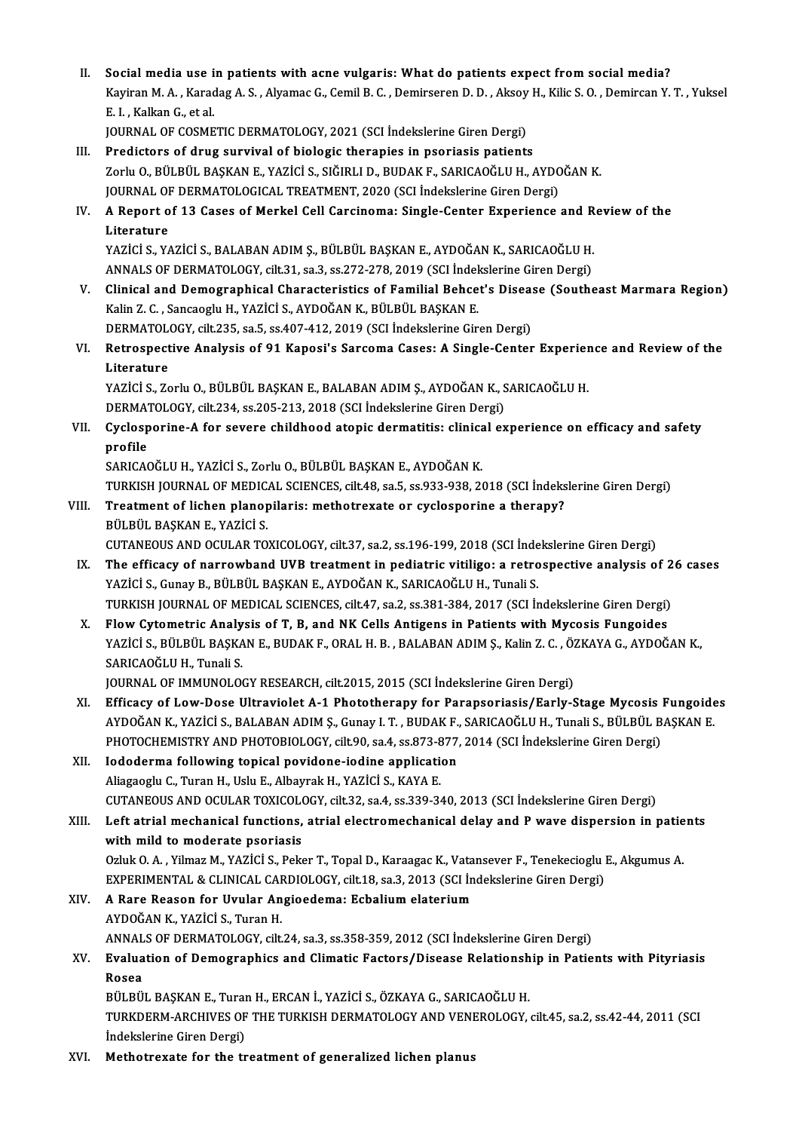II. Social media use in patients with acne vulgaris: What do patients expect from social media?<br>Equinon M.A. Kanadag A.S. Alvamag C. Camil B.C. Deminsonan D.D. Algay H. Kilia S.O. Deminson V. Social media use in patients with acne vulgaris: What do patients expect from social media?<br>Kayiran M. A. , Karadag A. S. , Alyamac G., Cemil B. C. , Demirseren D. D. , Aksoy H., Kilic S. O. , Demircan Y. T. , Yuksel Social media use i<br>Kayiran M. A. , Karac<br>E. I. , Kalkan G., et al.<br>JOUPMAL OF COSME Kayiran M. A. , Karadag A. S. , Alyamac G., Cemil B. C. , Demirseren D. D. , Aksoy<br>E. I. , Kalkan G., et al.<br>JOURNAL OF COSMETIC DERMATOLOGY, 2021 (SCI İndekslerine Giren Dergi)<br>Predistors of drug survival of biologis thor E. I. , Kalkan G., et al.<br>JOURNAL OF COSMETIC DERMATOLOGY, 2021 (SCI Indekslerine Giren Dergi)<br>III. Predictors of drug survival of biologic therapies in psoriasis patients

- JOURNAL OF COSMETIC DERMATOLOGY, 2021 (SCI İndekslerine Giren Dergi)<br>Predictors of drug survival of biologic therapies in psoriasis patients<br>Zorlu O., BÜLBÜL BAŞKAN E., YAZİCİ S., SIĞIRLI D., BUDAK F., SARICAOĞLU H., AYDOĞ Predictors of drug survival of biologic therapies in psoriasis patients<br>Zorlu O., BÜLBÜL BAŞKAN E., YAZİCİ S., SIĞIRLI D., BUDAK F., SARICAOĞLU H., AYDO<br>JOURNAL OF DERMATOLOGICAL TREATMENT, 2020 (SCI İndekslerine Giren Der JOURNAL OF DERMATOLOGICAL TREATMENT, 2020 (SCI İndekslerine Giren Dergi)
- IV. A Report of 13 Cases of Merkel Cell Carcinoma: Single-Center Experience and Review of the<br>Literature A Report of 13 Cases of Merkel Cell Carcinoma: Single-Center Experience and R<br>Literature<br>YAZİCİ S., YAZİCİ S., BALABAN ADIM Ş., BÜLBÜL BAŞKAN E., AYDOĞAN K., SARICAOĞLU H.<br>ANNALS OF DERMATOLOCY. silt 21, sə 2, sə 272, 272, Literature<br>YAZİCİ S., YAZİCİ S., BALABAN ADIM Ş., BÜLBÜL BAŞKAN E., AYDOĞAN K., SARICAOĞLU H.<br>ANNALS OF DERMATOLOGY, cilt.31, sa.3, ss.272-278, 2019 (SCI İndekslerine Giren Dergi)<br>Clinical and Demographical Characteristics

- ANNALS OF DERMATOLOGY, cilt.31, sa.3, ss.272-278, 2019 (SCI İndekslerine Giren Dergi)<br>V. Clinical and Demographical Characteristics of Familial Behcet's Disease (Southeast Marmara Region) Kalin Z.C., Sancaoglu H., YAZİCİ S., AYDOĞAN K., BÜLBÜL BAŞKAN E. Clinical and Demographical Characteristics of Familial Behcet's Disea:<br>Kalin Z. C. , Sancaoglu H., YAZİCİ S., AYDOĞAN K., BÜLBÜL BAŞKAN E.<br>DERMATOLOGY, cilt.235, sa.5, ss.407-412, 2019 (SCI İndekslerine Giren Dergi)<br>Betrea
- Kalin Z. C. , Sancaoglu H., YAZİCİ S., AYDOĞAN K., BÜLBÜL BAŞKAN E.<br>DERMATOLOGY, cilt.235, sa.5, ss.407-412, 2019 (SCI İndekslerine Giren Dergi)<br>VI. Retrospective Analysis of 91 Kaposi's Sarcoma Cases: A Single-Center DERMATOL<br>Retrospect<br>Literature<br>VAZICI S. Ze Retrospective Analysis of 91 Kaposi's Sarcoma Cases: A Single-Center Experier<br>Literature<br>YAZİCİ S., Zorlu O., BÜLBÜL BAŞKAN E., BALABAN ADIM Ş., AYDOĞAN K., SARICAOĞLU H.<br>DERMATOLOCY silt 224 ss 205 212 2019 (SCLİndeksləri

Literature<br>YAZİCİ S., Zorlu O., BÜLBÜL BAŞKAN E., BALABAN ADIM Ş., AYDOĞAN K., SARICAOĞLU H.<br>DERMATOLOGY, cilt.234, ss.205-213, 2018 (SCI İndekslerine Giren Dergi)

YAZİCİ S., Zorlu O., BÜLBÜL BAŞKAN E., BALABAN ADIM Ş., AYDOĞAN K., SARICAOĞLU H.<br>DERMATOLOGY, cilt.234, ss.205-213, 2018 (SCI İndekslerine Giren Dergi)<br>VII. Cyclosporine-A for severe childhood atopic dermatitis: clinical **DERMAT**<br>Cyclosp<br>profile<br>SARICAC Cyclosporine-A for severe childhood atopic dermatitis: clinica<br>profile<br>SARICAOĞLU H., YAZİCİ S., Zorlu O., BÜLBÜL BAŞKAN E., AYDOĞAN K.<br>TURKISH JOURNAL OF MEDICAL SCIENCES silt 49 sa 5 ss 933 939 24

profile<br>SARICAOĞLU H., YAZİCİ S., Zorlu O., BÜLBÜL BAŞKAN E., AYDOĞAN K.<br>TURKISH JOURNAL OF MEDICAL SCIENCES, cilt.48, sa.5, ss.933-938, 2018 (SCI İndekslerine Giren Dergi)

- SARICAOĞLU H., YAZİCİ S., Zorlu O., BÜLBÜL BAŞKAN E., AYDOĞAN K.<br>TURKISH JOURNAL OF MEDICAL SCIENCES, cilt.48, sa.5, ss.933-938, 2018 (SCI İndeks<br>VIII. Treatment of lichen planopilaris: methotrexate or cyclosporine a t TURKISH JOURNAL OF MEDIC.<br>Treatment of lichen planop<br>BÜLBÜL BAŞKAN E., YAZİCİ S.<br>CUTANEQUS AND QCULAR TO Treatment of lichen planopilaris: methotrexate or cyclosporine a therapy?<br>BÜLBÜL BAŞKAN E., YAZİCİ S.<br>CUTANEOUS AND OCULAR TOXICOLOGY, cilt.37, sa.2, ss.196-199, 2018 (SCI İndekslerine Giren Dergi)<br>The efficesy of nannowba
- BÜLBÜL BAŞKAN E., YAZİCİ S.<br>CUTANEOUS AND OCULAR TOXICOLOGY, cilt.37, sa.2, ss.196-199, 2018 (SCI İndekslerine Giren Dergi)<br>IX. The efficacy of narrowband UVB treatment in pediatric vitiligo: a retrospective analysis of 26 CUTANEOUS AND OCULAR TOXICOLOGY, cilt.37, sa.2, ss.196-199, 2018 (SCI İnde<br>The efficacy of narrowband UVB treatment in pediatric vitiligo: a retro<br>YAZİCİ S., Gunay B., BÜLBÜL BAŞKAN E., AYDOĞAN K., SARICAOĞLU H., Tunali S. The efficacy of narrowband UVB treatment in pediatric vitiligo: a retrospective analysis of 2<br>YAZİCİ S., Gunay B., BÜLBÜL BAŞKAN E., AYDOĞAN K., SARICAOĞLU H., Tunali S.<br>TURKISH JOURNAL OF MEDICAL SCIENCES, cilt.47, sa.2, YAZICI S., Gunay B., BÜLBÜL BAŞKAN E., AYDOĞAN K., SARICAOĞLU H., Tunali S.<br>TURKISH JOURNAL OF MEDICAL SCIENCES, cilt.47, sa.2, ss.381-384, 2017 (SCI İndekslerine Giren Dergi)<br>X. Flow Cytometric Analysis of T, B, and NK Ce
- TURKISH JOURNAL OF MEDICAL SCIENCES, cilt.47, sa.2, ss.381-384, 2017 (SCI İndekslerine Giren Dergi)<br>Flow Cytometric Analysis of T, B, and NK Cells Antigens in Patients with Mycosis Fungoides<br>YAZİCİ S., BÜLBÜL BAŞKAN E., BU Flow Cytometric Analy<br>YAZİCİ S., BÜLBÜL BAŞKA<br>SARICAOĞLU H., Tunali S.<br>JOUPNAL OE IMMUNOLO YAZİCİ S., BÜLBÜL BAŞKAN E., BUDAK F., ORAL H. B. , BALABAN ADIM Ş., Kalin Z. C. , ÖZKAYA G., AYDOĞAN K.,<br>SARICAOĞLU H., Tunali S.<br>JOURNAL OF IMMUNOLOGY RESEARCH, cilt.2015, 2015 (SCI İndekslerine Giren Dergi)

- SARICAOĞLU H., Tunali S.<br>JOURNAL OF IMMUNOLOGY RESEARCH, cilt.2015, 2015 (SCI İndekslerine Giren Dergi)<br>XI. Efficacy of Low-Dose Ultraviolet A-1 Phototherapy for Parapsoriasis/Early-Stage Mycosis Fungoides<br>AVDOĞAN K. YAZİC JOURNAL OF IMMUNOLOGY RESEARCH, cilt.2015, 2015 (SCI İndekslerine Giren Dergi)<br>Efficacy of Low-Dose Ultraviolet A-1 Phototherapy for Parapsoriasis/Early-Stage Mycosis Fungoide<br>AYDOĞAN K., YAZİCİ S., BALABAN ADIM Ş., Gunay Efficacy of Low-Dose Ultraviolet A-1 Phototherapy for Parapsoriasis/Early-Stage Mycosis |<br>AYDOĞAN K., YAZİCİ S., BALABAN ADIM Ş., Gunay I. T. , BUDAK F., SARICAOĞLU H., Tunali S., BÜLBÜL B.<br>PHOTOCHEMISTRY AND PHOTOBIOLOGY, AYDOĞAN K., YAZİCİ S., BALABAN ADIM Ş., Gunay I. T., BUDAK F.,<br>PHOTOCHEMISTRY AND PHOTOBIOLOGY, cilt.90, sa.4, ss.873-877,<br>XII. Iododerma following topical povidone-iodine application<br>Aliazzaziu G. Turan H. Halu E. Albaura
- PHOTOCHEMISTRY AND PHOTOBIOLOGY, cilt.90, sa.4, ss.873-8<br>Iododerma following topical povidone-iodine application<br>Aliagaoglu C., Turan H., Uslu E., Albayrak H., YAZİCİ S., KAYA E.<br>CUTANEOUS AND OCULAP TOVICOLOGY, silt 33, s Iododerma following topical povidone-iodine application<br>Aliagaoglu C., Turan H., Uslu E., Albayrak H., YAZİCİ S., KAYA E.<br>CUTANEOUS AND OCULAR TOXICOLOGY, cilt.32, sa.4, ss.339-340, 2013 (SCI İndekslerine Giren Dergi)<br>Left Aliagaoglu C., Turan H., Uslu E., Albayrak H., YAZİCİ S., KAYA E.<br>CUTANEOUS AND OCULAR TOXICOLOGY, cilt.32, sa.4, ss.339-340, 2013 (SCI İndekslerine Giren Dergi)<br>XIII. Left atrial mechanical functions, atrial electromechan

CUTANEOUS AND OCULAR TOXICOLO<br>Left atrial mechanical functions,<br>with mild to moderate psoriasis<br>Orluk 0. A. Vilmar M. VAZICLS, Bolg Left atrial mechanical functions, atrial electromechanical delay and P wave dispersion in patie<br>with mild to moderate psoriasis<br>Ozluk O. A., Yilmaz M., YAZİCİ S., Peker T., Topal D., Karaagac K., Vatansever F., Tenekeciogl with mild to moderate psoriasis<br>Ozluk O. A. , Yilmaz M., YAZİCİ S., Peker T., Topal D., Karaagac K., Vatansever F., Tenekecioglu l<br>EXPERIMENTAL & CLINICAL CARDIOLOGY, cilt.18, sa.3, 2013 (SCI İndekslerine Giren Dergi)<br>A Pa EXPERIMENTAL & CLINICAL CARDIOLOGY, cilt.18, sa.3, 2013 (SCI İndekslerine Giren Dergi)

## XIV. A Rare Reason for Uvular Angioedema: Ecbalium elaterium<br>AYDOĞAN K., YAZİCİ S., Turan H. A Rare Reason for Uvular Angioedema: Ecbalium elaterium<br>AYDOĞAN K., YAZİCİ S., Turan H.<br>ANNALS OF DERMATOLOGY, cilt.24, sa.3, ss.358-359, 2012 (SCI İndekslerine Giren Dergi)<br>Fyaluation of Demographies and Climatis Fostors

## XV. Evaluation of Demographics and Climatic Factors/Disease Relationship in Patients with Pityriasis ANNAL<br><mark>Evalua</mark><br>Rosea<br>Pül Pü Bvaluation of Demographics and Climatic Factors/Disease Relationsh<br>Rosea<br>BÜLBÜL BAŞKAN E., Turan H., ERCAN İ., YAZİCİ S., ÖZKAYA G., SARICAOĞLU H.<br>TURKDERM ARCHIVES OF THE TURKISH DERMATOLOGY AND VENEROLOGY

TURKDERM-ARCHIVES OF THE TURKISH DERMATOLOGY AND VENEROLOGY, cilt.45, sa.2, ss.42-44, 2011 (SCI Indekslerine Giren Dergi) BÜLBÜL BAŞKAN E., Turai<br>TURKDERM-ARCHIVES OF<br>İndekslerine Giren Dergi)<br>Mathatravata far tha tr

XVI. Methotrexate for the treatment of generalized lichen planus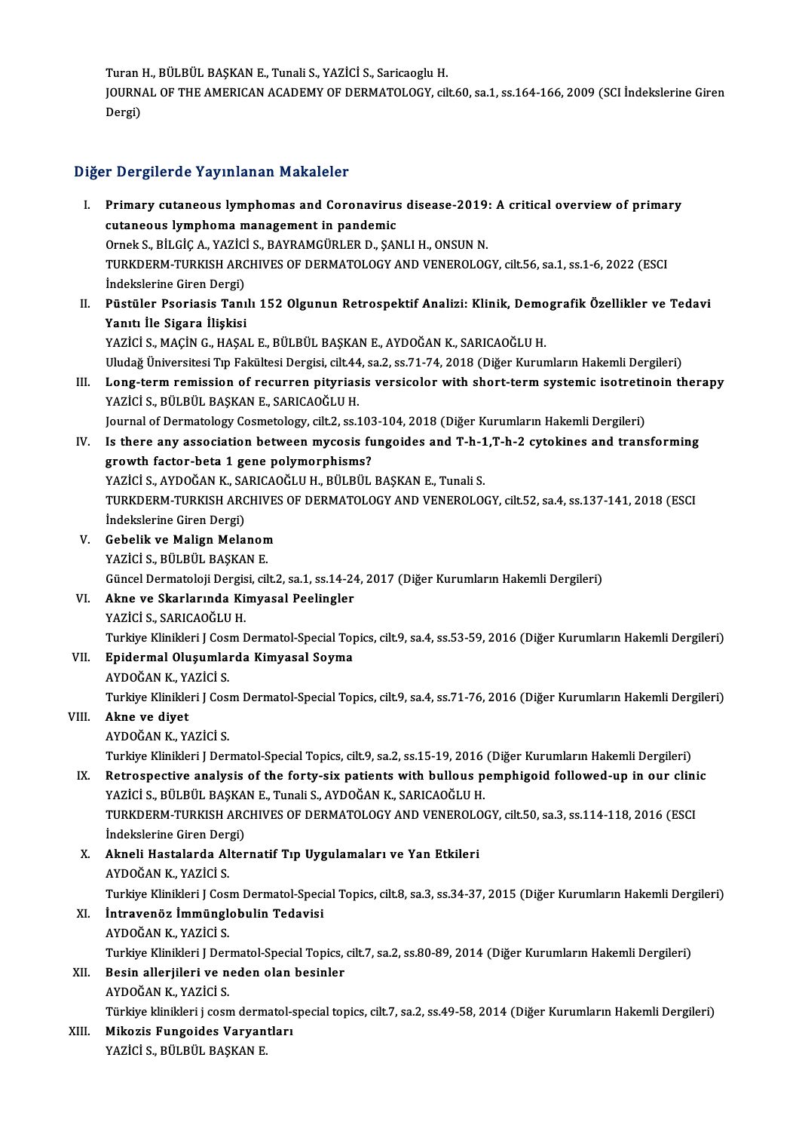Turan H., BÜLBÜL BAŞKAN E., Tunali S., YAZİCİ S., Saricaoglu H.<br>JOUPNAL OF THE AMERICAN ACADEMY OF DEPMATOLOCY, SİL

JOURNAL OF THE AMERICAN ACADEMY OF DERMATOLOGY, cilt.60, sa.1, ss.164-166, 2009 (SCI İndekslerine Giren<br>Dergi) Turan l<br>JOURN.<br>Dergi)

## Diğer Dergilerde Yayınlanan Makaleler

- Iger Dergilerde Yayınlanan Makaleler<br>I. Primary cutaneous lymphomas and Coronavirus disease-2019: A critical overview of primary<br>sutaneous lymphoma management in pandemia Perghion alle hay miaman manarches<br>Primary cutaneous lymphomas and Coronavirus<br>cutaneous lymphoma management in pandemic<br>Ornels S. Pit.Cic.A. VAZICIS PANPAMCÜPLEP D. SAN Primary cutaneous lymphomas and Coronavirus disease-2019;<br>cutaneous lymphoma management in pandemic<br>Ornek S., BİLGİÇ A., YAZİCİ S., BAYRAMGÜRLER D., ŞANLI H., ONSUN N.<br>TURKDERM TURKISH ARCHIVES OF DERMATOLOCY AND VENEROLOC cutaneous lymphoma management in pandemic<br>Ornek S., BİLGİÇ A., YAZİCİ S., BAYRAMGÜRLER D., ŞANLI H., ONSUN N.<br>TURKDERM-TURKISH ARCHIVES OF DERMATOLOGY AND VENEROLOGY, cilt.56, sa.1, ss.1-6, 2022 (ESCI Ornek S., BİLGİÇ A., YAZİCİ<br>TURKDERM-TURKISH ARC<br>İndekslerine Giren Dergi)<br>Püstüler Peeriasis Tanı TURKDERM-TURKISH ARCHIVES OF DERMATOLOGY AND VENEROLOGY, cilt.56, sa.1, ss.1-6, 2022 (ESCI<br>Indekslerine Giren Dergi)<br>II. Püstüler Psoriasis Tanılı 152 Olgunun Retrospektif Analizi: Klinik, Demografik Özellikler ve Tedavi<br>V
- İndekslerine Giren Dergi)<br>Püstüler Psoriasis Tanı<br>Yanıtı İle Sigara İlişkisi<br>YAZİÇİ S. MAÇİN G. HASA Püstüler Psoriasis Tanılı 152 Olgunun Retrospektif Analizi: Klinik, Demo<br>Yanıtı İle Sigara İlişkisi<br>YAZİCİ S., MAÇİN G., HAŞAL E., BÜLBÜL BAŞKAN E., AYDOĞAN K., SARICAOĞLU H.<br>Uludağ Üniversitesi En Fakültesi Dersisi, silt Yanıtı İle Sigara İlişkisi<br>YAZİCİ S., MAÇİN G., HAŞAL E., BÜLBÜL BAŞKAN E., AYDOĞAN K., SARICAOĞLU H.<br>Uludağ Üniversitesi Tıp Fakültesi Dergisi, cilt.44, sa.2, ss.71-74, 2018 (Diğer Kurumların Hakemli Dergileri)

- YAZİCİ S., MAÇİN G., HAŞAL E., BÜLBÜL BAŞKAN E., AYDOĞAN K., SARICAOĞLU H.<br>Uludağ Üniversitesi Tıp Fakültesi Dergisi, cilt.44, sa.2, ss.71-74, 2018 (Diğer Kurumların Hakemli Dergileri)<br>III. Long-term remission of recur Uludağ Üniversitesi Tıp Fakültesi Dergisi, cilt.44<br>Long-term remission of recurren pityrias<br>YAZİCİ S., BÜLBÜL BAŞKAN E., SARICAOĞLU H.<br>Journal of Dermetalogu Germetalogu, silt 3, 201 Long-term remission of recurren pityriasis versicolor with short-term systemic isotretin<br>YAZİCİ S., BÜLBÜL BAŞKAN E., SARICAOĞLU H.<br>Journal of Dermatology Cosmetology, cilt.2, ss.103-104, 2018 (Diğer Kurumların Hakemli Der
- YAZİCİ S., BÜLBÜL BAŞKAN E., SARICAOĞLU H.<br>Journal of Dermatology Cosmetology, cilt.2, ss.103-104, 2018 (Diğer Kurumların Hakemli Dergileri)<br>IV. Is there any association between mycosis fungoides and T-h-1,T-h-2 cytokines Journal of Dermatology Cosmetology, cilt.2, ss.103-104, 2018 (Diğer Kurumların Hakemli Dergileri)<br>Is there any association between mycosis fungoides and T-h-1,T-h-2 cytokines and trans<br>growth factor-beta 1 gene polymorphis Is there any association between mycosis fungoides and T-h-1<br>growth factor-beta 1 gene polymorphisms?<br>YAZİCİ S., AYDOĞAN K., SARICAOĞLU H., BÜLBÜL BAŞKAN E., Tunali S.<br>TURKDERM TURKISH ARCHIVES OF DERMATOLOCY AND VENEROLOG growth factor-beta 1 gene polymorphisms?<br>YAZİCİ S., AYDOĞAN K., SARICAOĞLU H., BÜLBÜL BAŞKAN E., Tunali S.<br>TURKDERM-TURKISH ARCHIVES OF DERMATOLOGY AND VENEROLOGY, cilt.52, sa.4, ss.137-141, 2018 (ESCI YAZİCİ S., AYDOĞAN K., SA<br>TURKDERM-TURKISH ARC<br>İndekslerine Giren Dergi)<br>Cebelik ve Malian Mala TURKDERM-TURKISH ARCHIVES<br>Indekslerine Giren Dergi)<br>V. Gebelik ve Malign Melanom<br>VAZICI S. PÜLPÜL PASKAN F
- İndekslerine Giren Dergi)<br>V. Gebelik ve Malign Melanom<br>YAZİCİ S., BÜLBÜL BAŞKAN E. Gebelik ve Malign Melanom<br>YAZİCİ S., BÜLBÜL BAŞKAN E.<br>Güncel Dermatoloji Dergisi, cilt.2, sa.1, ss.14-24, 2017 (Diğer Kurumların Hakemli Dergileri)<br>Akna ve Skarlarında Kimyasal Baslingler YAZİCİ S., BÜLBÜL BAŞKAN E.<br>Güncel Dermatoloji Dergisi, cilt.2, sa.1, ss.14-24<br>VI. Akne ve Skarlarında Kimyasal Peelingler<br>VAZİCİ S.ABICAQĞLU H
- Güncel Dermatoloji Dergis<br><mark>Akne ve Skarlarında Ki</mark>:<br>YAZİCİ S., SARICAOĞLU H.<br>Turkiye Klinikleri I Ceem I

Akne ve Skarlarında Kimyasal Peelingler<br>YAZİCİ S., SARICAOĞLU H.<br>Turkiye Klinikleri J Cosm Dermatol-Special Topics, cilt.9, sa.4, ss.53-59, 2016 (Diğer Kurumların Hakemli Dergileri)

- YAZİCİ S., SARICAOĞLU H.<br>Turkiye Klinikleri J Cosm Dermatol-Special To<sub>l</sub><br>VII. **Epidermal Oluşumlarda Kimyasal Soyma**<br>AYDOĞAN K., YAZİCİ S. Turkiye Klinikleri J Cosi<br><mark>Epidermal Oluşumlaı</mark><br>AYDOĞAN K., YAZİCİ S.<br>Turkiye Klinikleri J Cosi Epidermal Oluşumlarda Kimyasal Soyma<br>AYDOĞAN K., YAZİCİ S.<br>Turkiye Klinikleri J Cosm Dermatol-Special Topics, cilt.9, sa.4, ss.71-76, 2016 (Diğer Kurumların Hakemli Dergileri) Turkiye Klinikleri J Cosi<br><mark>Akne ve diyet</mark><br>AYDOĞAN K., YAZİCİ S.<br>Turkiye Klinikleri J Der
- VIII. Akne ve diyet<br>AYDOĞAN K., YAZİCİ S.

Akne ve diyet<br>AYDOĞAN K., YAZİCİ S.<br>Turkiye Klinikleri J Dermatol-Special Topics, cilt.9, sa.2, ss.15-19, 2016 (Diğer Kurumların Hakemli Dergileri)<br>Betrespective analysis of the forty six patients with bulleys pemphiseid f

AYDOĞAN K., YAZİCİ S.<br>Turkiye Klinikleri J Dermatol-Special Topics, cilt.9, sa.2, ss.15-19, 2016 (Diğer Kurumların Hakemli Dergileri)<br>IX. Retrospective analysis of the forty-six patients with bullous pemphigoid followe Turkiye Klinikleri J Dermatol-Special Topics, cilt.9, sa.2, ss.15-19, 2016<br>Retrospective analysis of the forty-six patients with bullous p<br>YAZİCİ S., BÜLBÜL BAŞKAN E., Tunali S., AYDOĞAN K., SARICAOĞLU H.<br>TURKDERM TURKISH Retrospective analysis of the forty-six patients with bullous pemphigoid followed-up in our clini<br>YAZİCİ S., BÜLBÜL BAŞKAN E., Tunali S., AYDOĞAN K., SARICAOĞLU H.<br>TURKDERM-TURKISH ARCHIVES OF DERMATOLOGY AND VENEROLOGY, c YAZİCİ S., BÜLBÜL BAŞKA<br>TURKDERM-TURKISH ARC<br>İndekslerine Giren Dergi)<br>Almali Hastalarda Altar TURKDERM-TURKISH ARCHIVES OF DERMATOLOGY AND VENEROLO<br>
Indekslerine Giren Dergi)<br>
X. Akneli Hastalarda Alternatif Tıp Uygulamaları ve Yan Etkileri<br>
AVDOČAN K. YAZİCİ S

- İndekslerine Giren Dergi)<br>X. Akneli Hastalarda Alternatif Tıp Uygulamaları ve Yan Etkileri<br>AYDOĞAN K., YAZİCİ S. Akneli Hastalarda Alternatif Tıp Uygulamaları ve Yan Etkileri<br>AYDOĞAN K., YAZİCİ S.<br>Turkiye Klinikleri J Cosm Dermatol-Special Topics, cilt.8, sa.3, ss.34-37, 2015 (Diğer Kurumların Hakemli Dergileri)
- XI. İntravenöz İmmünglobulin Tedavisi Turkiye Klinikleri J Cos<mark>i</mark><br>İntravenöz İmmünglı<br>AYDOĞAN K., YAZİCİ S.<br>Turkiye Klinikleri J Der İntravenöz İmmünglobulin Tedavisi<br>AYDOĞAN K., YAZİCİ S.<br>Turkiye Klinikleri J Dermatol-Special Topics, cilt.7, sa.2, ss.80-89, 2014 (Diğer Kurumların Hakemli Dergileri) AYDOĞAN K., YAZİCİ S.<br>Turkiye Klinikleri J Dermatol-Special Topics,<br>XII. Besin allerjileri ve neden olan besinler
- Turkiye Klinikleri J Der:<br><mark>Besin allerjileri ve n</mark><br>AYDOĞAN K., YAZİCİ S.<br>Türkiye klinikleri i sesn Besin allerjileri ve neden olan besinler<br>AYDOĞAN K., YAZİCİ S.<br>Türkiye klinikleri j cosm dermatol-special topics, cilt.7, sa.2, ss.49-58, 2014 (Diğer Kurumların Hakemli Dergileri)

AYDOĞAN K., YAZİCİ S.<br>Türkiye klinikleri j cosm dermatol-s<br>XIII. Mikozis Fungoides Varyantları<br>YAZİCİ S., BÜLBÜL BAŞKAN E. Türkiye klinikleri j cosm derm<br><mark>Mikozis Fungoides Varyan</mark><br>YAZİCİ S., BÜLBÜL BAŞKAN E.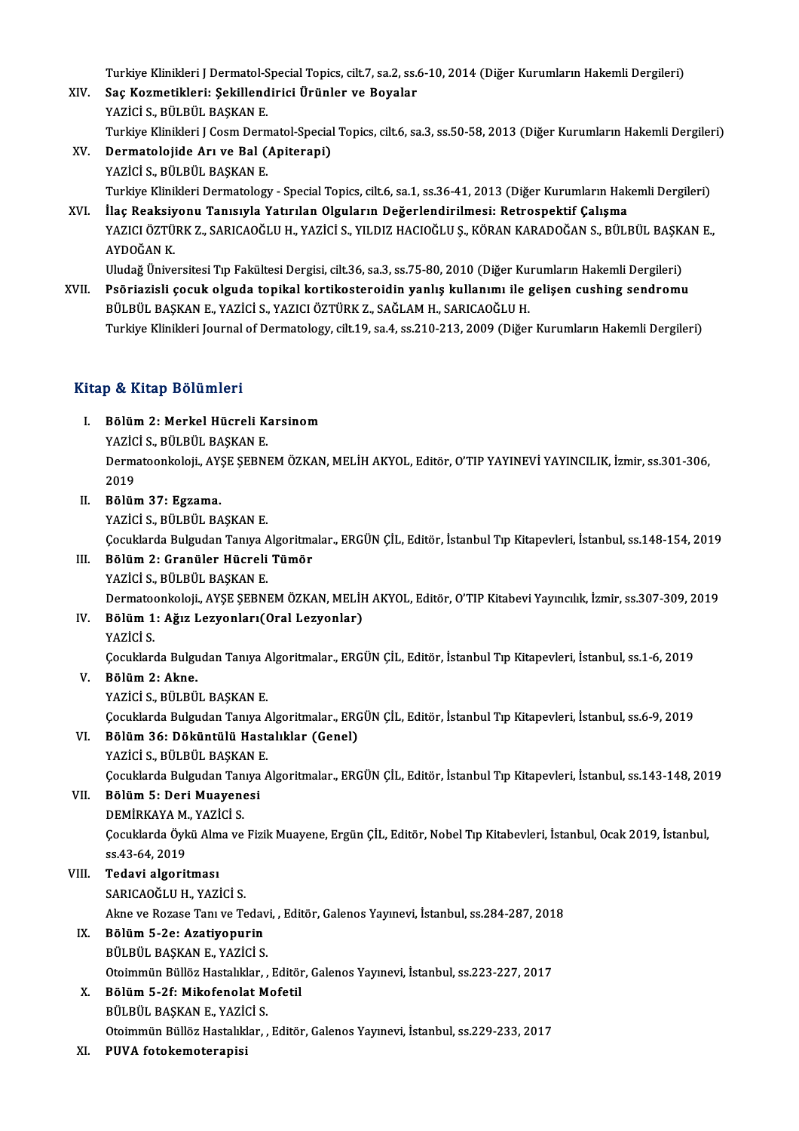Turkiye Klinikleri J Dermatol-Special Topics, cilt.7, sa.2, ss.6-10, 2014 (Diğer Kurumların Hakemli Dergileri)<br>Sae Kozmatikleri: Sekillendirisi Ününler ve Boyaler

- XIV. Saç Kozmetikleri: Şekillendirici Ürünler ve Boyalar<br>YAZİCİ S., BÜLBÜL BASKAN E. Turkiye Klinikleri J Dermatol-S<br><mark>Saç Kozmetikleri: Şekillend</mark><br>YAZİCİ S., BÜLBÜL BAŞKAN E.<br>Turkiye Klinikleri L Ceem Dern Turkiye Klinikleri J Cosm Dermatol-Special Topics, cilt.6, sa.3, ss.50-58, 2013 (Diğer Kurumların Hakemli Dergileri)
- XV. Dermatolojide Arı ve Bal (Apiterapi) YAZİCİ S., BÜLBÜL BAŞKAN E. Dermatolojide Arı ve Bal (Apiterapi)<br>YAZİCİ S., BÜLBÜL BAŞKAN E.<br>Turkiye Klinikleri Dermatology - Special Topics, cilt.6, sa.1, ss.36-41, 2013 (Diğer Kurumların Hakemli Dergileri)<br>İlaç Boaksiyonu Tanısıyla Yatırılan Olsula YAZİCİ S., BÜLBÜL BAŞKAN E.<br>Turkiye Klinikleri Dermatology - Special Topics, cilt.6, sa.1, ss.36-41, 2013 (Diğer Kurumların Hak<br>XVI. İlaç Reaksiyonu Tanısıyla Yatırılan Olguların Değerlendirilmesi: Retrospektif Çalışma<br>XAZ
- Turkiye Klinikleri Dermatology Special Topics, cilt.6, sa.1, ss.36-41, 2013 (Diğer Kurumların Hakemli Dergileri)<br>İlaç Reaksiyonu Tanısıyla Yatırılan Olguların Değerlendirilmesi: Retrospektif Çalışma<br>YAZICI ÖZTÜRK Z., SAR İ<mark>laç Reaksiy</mark><br>YAZICI ÖZTÜ<br>AYDOĞAN K.<br>Uludoğ Üniye YAZICI ÖZTÜRK Z., SARICAOĞLU H., YAZİCİ S., YILDIZ HACIOĞLU Ş., KÖRAN KARADOĞAN S., BÜLBÜL BAŞK.<br>AYDOĞAN K.<br>Uludağ Üniversitesi Tıp Fakültesi Dergisi, cilt.36, sa.3, ss.75-80, 2010 (Diğer Kurumların Hakemli Dergileri)<br>Beğr AYDOĞAN K.<br>Uludağ Üniversitesi Tıp Fakültesi Dergisi, cilt.36, sa.3, ss.75-80, 2010 (Diğer Kurumların Hakemli Dergileri)<br>XVII. Psöriazisli çocuk olguda topikal kortikosteroidin yanlış kullanımı ile gelişen cushing send

BÜLBÜL BAŞKAN E., YAZİCİ S., YAZICI ÖZTÜRK Z., SAĞLAM H., SARICAOĞLU H. Turkiye Klinikleri Journal of Dermatology, cilt.19, sa.4, ss.210-213, 2009 (Diğer Kurumların Hakemli Dergileri)

## Kitap & Kitap Bölümleri

- itap & Kitap Bölümleri<br>I. Bölüm 2: Merkel Hücreli Karsinom<br>XAZİÇİ S PÜLPÜL PASYAN E y & KRup Bolumici<br>Bölüm 2: Merkel Hücreli Kı<br>YAZİCİ S., BÜLBÜL BAŞKAN E.<br>Dermateenkeleli, AVSE SEPNI Bölüm 2: Merkel Hücreli Karsinom<br>YAZİCİ S., BÜLBÜL BAŞKAN E.<br>Dermatoonkoloji., AYŞE ŞEBNEM ÖZKAN, MELİH AKYOL, Editör, O'TIP YAYINEVİ YAYINCILIK, İzmir, ss.301-306,<br>2019 **YAZİC<br>Derm:<br>2019<br>Bölün** 2019<br>II. Bölüm 37: Egzama.
- YAZİCİ S., BÜLBÜL BAŞKAN E.

ÇocuklardaBulgudanTanıyaAlgoritmalar.,ERGÜNÇİL,Editör, İstanbulTıpKitapevleri, İstanbul, ss.148-154,2019

- III. Bölüm 2: Granüler Hücreli Tümör YAZİCİ S., BÜLBÜL BAŞKAN E. Dermatoonkoloji.,AYŞEŞEBNEMÖZKAN,MELİHAKYOL,Editör,O'TIPKitabeviYayıncılık, İzmir, ss.307-309,2019 YAZİCİ S., BÜLBÜL BAŞKAN E.<br>Dermatoonkoloji., AYŞE ŞEBNEM ÖZKAN, MELİH<br>IV. Bölüm 1: Ağız Lezyonları(Oral Lezyonlar)<br>VAZİCİ S
- Dermato<br><mark>Bölüm 1</mark><br>YAZİCİ S.<br>Gesukları Bölüm 1: Ağız Lezyonları(Oral Lezyonlar)<br>YAZİCİ S.<br>Çocuklarda Bulgudan Tanıya Algoritmalar., ERGÜN ÇİL, Editör, İstanbul Tıp Kitapevleri, İstanbul, ss.1-6, 2019<br>Rölüm 2: Alme YAZİCİ S.<br>Çocuklarda Bulgudan Tanıya A<br>V. Bölüm 2: Akne.<br>YAZİCİ S., BÜLBÜL BAŞKAN E.

Çocuklarda Bulgudan Tanıya A<br>Bölüm 2: Akne.<br>YAZİCİ S., BÜLBÜL BAŞKAN E.<br>Cosuklanda Bulsudan Tanıya A

Çocuklarda Bulgudan Tanıya Algoritmalar., ERGÜN ÇİL, Editör, İstanbul Tıp Kitapevleri, İstanbul, ss.6-9, 2019

### VI. Bölüm36: Döküntülü Hastalıklar (Genel) YAZİCİ S., BÜLBÜL BAŞKAN E.

Bölüm 36: Döküntülü Hastalıklar (Genel)<br>YAZİCİ S., BÜLBÜL BAŞKAN E.<br>Çocuklarda Bulgudan Tanıya Algoritmalar., ERGÜN ÇİL, Editör, İstanbul Tıp Kitapevleri, İstanbul, ss.143-148, 2019<br>Rölüm E. Deri Muayenesi

## VII. Bölüm 5: Deri Muayenesi<br>DEMİRKAYA M., YAZİCİ S. Çocuklarda Bulgudan Tan<br>**Bölüm 5: Deri Muayen<br>DEMİRKAYA M., YAZİCİ S.**<br>Cocuklarda Öykü Alma ya

Bölüm 5: Deri Muayenesi<br>DEMİRKAYA M., YAZİCİ S.<br>Çocuklarda Öykü Alma ve Fizik Muayene, Ergün ÇİL, Editör, Nobel Tıp Kitabevleri, İstanbul, Ocak 2019, İstanbul, DEMİRKAYA M.<br>Çocuklarda Öyk<br>ss.43-64, 2019<br>Todavi alsoni

## ss.43-64, 2019<br>VIII. Tedavi algoritması

SARICAOĞLU H., YAZİCİ S. Akne ve Rozase Tanı ve Tedavi, , Editör, Galenos Yayınevi, İstanbul, ss.284-287, 2018 SARICAOĞLU H., YAZİCİ S.<br>Akne ve Rozase Tanı ve Teday<br>IX. Bölüm 5-2e: Azatiyopurin<br>PÜLPÜL PASKAN E. YAZİCİ S

## Akne ve Rozase Tanı ve Tedav<br>Bölüm 5-2e: Azatiyopurin<br>BÜLBÜL BAŞKAN E., YAZİCİ S.<br>Otaimmün Büllâz Hastalılılar BÜLBÜL BAŞKAN E., YAZİCİ S.<br>Otoimmün Büllöz Hastalıklar, , Editör, Galenos Yayınevi, İstanbul, ss.223-227, 2017

- X. Bölüm5-2f:MikofenolatMofetil BÜLBÜL BAŞKAN E., YAZİCİ S. Otoimmün Büllöz Hastalıklar, , Editör, Galenos Yayınevi, İstanbul, ss.229-233, 2017
- XI. PUVA fotokemoterapisi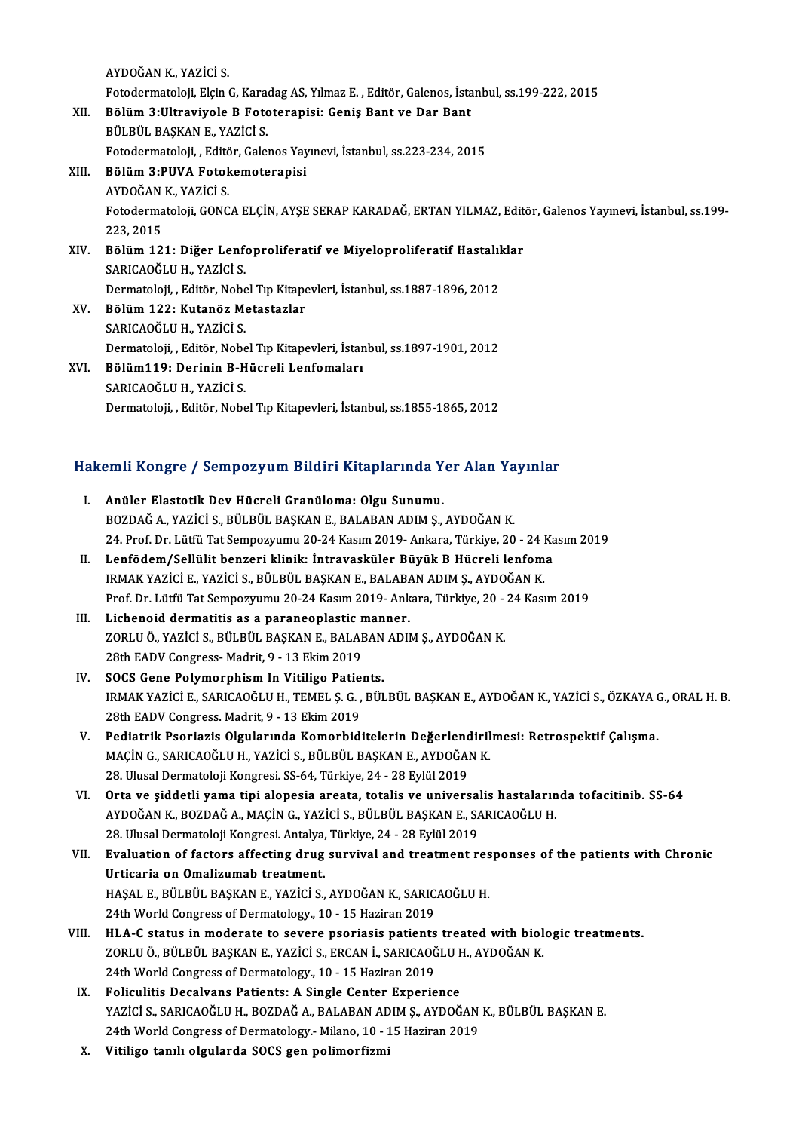AYDOĞANK.,YAZİCİ S.

Fotodermatoloji,ElçinG,KaradagAS,YılmazE. ,Editör,Galenos, İstanbul, ss.199-222,2015

AYDOĞAN K., YAZİCİ S.<br>Fotodermatoloji, Elçin G, Karadag AS, Yılmaz E. , Editör, Galenos, İsta<br>XII. Bölüm 3:Ultraviyole B Fototerapisi: Geniş Bant ve Dar Bant<br>Pül Pül PASKAN E. YAZİCİ S

Fotodermatoloji, Elçin G, Kara<br>Bölüm 3:Ultraviyole B Foto<br>BÜLBÜL BAŞKAN E., YAZİCİ S.<br>Fetedermateleji - Editör Geles BÜLBÜL BAŞKAN E., YAZİCİ S.<br>Fotodermatoloji, , Editör, Galenos Yayınevi, İstanbul, ss.223-234, 2015

## BÜLBÜL BAŞKAN E., YAZİCİ S.<br>Fotodermatoloji, , Editör, Galenos Yay<br>XIII. Bölüm 3:PUVA Fotokemoterapisi Fotodermatoloji, , Edit<mark>õ</mark><br>Bölüm 3:PUVA Fotok<br>AYDOĞAN K., YAZİCİ S.<br>Fetedermatoloji *CO*NC Fotodermatoloji, GONCA ELÇİN, AYŞE SERAP KARADAĞ, ERTAN YILMAZ, Editör, Galenos Yayınevi, İstanbul, ss.199-<br>223. 2015 AYDOĞAN K., YAZİCİ S. Fotodermatoloji, GONCA ELÇİN, AYŞE SERAP KARADAĞ, ERTAN YILMAZ, Edit<br>223, 2015<br>XIV. Bölüm 121: Diğer Lenfoproliferatif ve Miyeloproliferatif Hastalıklar<br>SARICAQĞLILH YAZİCİ S

- 223, 2015<br>Bölüm 121: Diğer Lenf<br>SARICAOĞLU H., YAZİCİ S.<br>Dermateleji Editör Nebe Bölüm 121: Diğer Lenfoproliferatif ve Miyeloproliferatif Hastalıl<br>SARICAOĞLU H., YAZİCİ S.<br>Dermatoloji, , Editör, Nobel Tıp Kitapevleri, İstanbul, ss.1887-1896, 2012<br>Pölüm 133: Kutanör Matastarlar SARICAOĞLU H., YAZİCİ S.<br>Dermatoloji, , Editör, Nobel Tıp Kitapı<br>XV. Bölüm 122: Kutanöz Metastazlar<br>SARICAOĞLU H., YAZİCİ S. Dermatoloji, , Editör, Nobel Tıp Kitapevleri, İstanbul, ss.1887-1896, 2012
- Bölüm 122: Kutanöz Metastazlar<br>SARICAOĞLU H., YAZİCİ S.<br>Dermatoloji, , Editör, Nobel Tıp Kitapevleri, İstanbul, ss.1897-1901, 2012<br>Bölüm119: Derinin B. Hüsreli Lenfomaları
- XVI. Bölüm119: Derinin B-Hücreli Lenfomaları Dermatoloji, , Editör, Nobe<br>Bölüm119: Derinin B-H<br>SARICAOĞLU H., YAZİCİ S.<br>Dermatoloji - Editör, Nobe Dermatoloji, , Editör, Nobel Tıp Kitapevleri, İstanbul, ss.1855-1865, 2012

# Dermatoloji, , Editor, Nobel Tip Kitapevleri, istanbul, ss.1855-1865, 2012<br>Hakemli Kongre / Sempozyum Bildiri Kitaplarında Yer Alan Yayınlar

- akemli Kongre / Sempozyum Bildiri Kitaplarında Y<br>I. Anüler Elastotik Dev Hücreli Granüloma: Olgu Sunumu.<br>POZDAČA, YAZİCİ S. PÜLPÜL PASKANE PALARANADIM S. I. Anüler Elastotik Dev Hücreli Granüloma: Olgu Sunumu.<br>BOZDAĞ A., YAZİCİ S., BÜLBÜL BAŞKAN E., BALABAN ADIM Ş., AYDOĞAN K. 24.Prof.Dr.LütfüTatSempozyumu 20-24Kasım2019-Ankara,Türkiye,20 -24Kasım2019 BOZDAĞ A., YAZİCİ S., BÜLBÜL BAŞKAN E., BALABAN ADIM Ş., AYDOĞAN K.<br>24. Prof. Dr. Lütfü Tat Sempozyumu 20-24 Kasım 2019- Ankara, Türkiye, 20 - 24 Ka<br>II. Lenfödem/Sellülit benzeri klinik: İntravasküler Büyük B Hücreli lenfo 24. Prof. Dr. Lütfü Tat Sempozyumu 20-24 Kasım 2019- Ankara, Türkiye, 20 - 24 l<br>Lenfödem/Sellülit benzeri klinik: İntravasküler Büyük B Hücreli lenfom<br>IRMAK YAZİCİ E., YAZİCİ S., BÜLBÜL BAŞKAN E., BALABAN ADIM Ş., AYDOĞAN Prof. Dr. Lütfü Tat Sempozyumu 20-24 Kasım 2019- Ankara, Türkiye, 20 - 24 Kasım 2019<br>Lichenoid dermatitis as a paraneoplastic manner. IRMAK YAZİCİ E., YAZİCİ S., BÜLBÜL BAŞKAN E., BALABAN ADIM Ş., AYDOĞAN K.<br>Prof. Dr. Lütfü Tat Sempozyumu 20-24 Kasım 2019- Ankara, Türkiye, 20 - 24 Kası<br>III. Lichenoid dermatitis as a paraneoplastic manner. Prof. Dr. Lütfü Tat Sempozyumu 20-24 Kasım 2019- Ankara, Türkiye, 20 -<br>Lichenoid dermatitis as a paraneoplastic manner.<br>ZORLU Ö., YAZİCİ S., BÜLBÜL BAŞKAN E., BALABAN ADIM Ş., AYDOĞAN K.<br>29th FADV Congress. Medrit 9, ...12 Lichenoid dermatitis as a paraneoplastic r<br>ZORLU Ö., YAZİCİ S., BÜLBÜL BAŞKAN E., BALAE<br>28th EADV Congress-Madrit, 9 - 13 Ekim 2019<br>SOCS Cong Bolymornhiam In Vitilige Batiel 28th EADV Congress-Madrit, 9 - 13 Ekim 2019<br>IV. SOCS Gene Polymorphism In Vitiligo Patients. 28th EADV Congress- Madrit, 9 - 13 Ekim 2019<br>SOCS Gene Polymorphism In Vitiligo Patients.<br>IRMAK YAZİCİ E., SARICAOĞLU H., TEMEL Ş. G. , BÜLBÜL BAŞKAN E., AYDOĞAN K., YAZİCİ S., ÖZKAYA G., ORAL H. B.<br>29th FADV Congress Madr 20CS Gene Polymorphism In Vitiligo Patie<br>IRMAK YAZİCİ E., SARICAOĞLU H., TEMEL Ş. G. ,<br>28th EADV Congress. Madrit, 9 - 13 Ekim 2019<br>Podiatrik Peoriaris Olsulanında Komorbid. IRMAK YAZİCİ E., SARICAOĞLU H., TEMEL Ş. G. , BÜLBÜL BAŞKAN E., AYDOĞAN K., YAZİCİ S., ÖZKAYA (28th EADV Congress. Madrit, 9 - 13 Ekim 2019)<br>V. Pediatrik Psoriazis Olgularında Komorbiditelerin Değerlendirilmesi: Retrospekt 28th EADV Congress. Madrit, 9 - 13 Ekim 2019<br>Pediatrik Psoriazis Olgularında Komorbiditelerin Değerlendiril<br>MAÇİN G., SARICAOĞLU H., YAZİCİ S., BÜLBÜL BAŞKAN E., AYDOĞAN K.<br>28 Hlusal Dermateleji Kongresi SS 64 Türkiye 24 -Pediatrik Psoriazis Olgularında Komorbiditelerin Değerlend<br>MAÇİN G., SARICAOĞLU H., YAZİCİ S., BÜLBÜL BAŞKAN E., AYDOĞAI<br>28. Ulusal Dermatoloji Kongresi. SS-64, Türkiye, 24 - 28 Eylül 2019<br>Orta ve siddetli yama tipi alanes MAÇİN G., SARICAOĞLU H., YAZİCİ S., BÜLBÜL BAŞKAN E., AYDOĞAN K.<br>28. Ulusal Dermatoloji Kongresi. SS-64, Türkiye, 24 - 28 Eylül 2019<br>1. Orta ve şiddetli yama tipi alopesia areata, totalis ve universalis hastalarında tofaci 28. Ulusal Dermatoloji Kongresi. SS-64, Türkiye, 24 - 28 Eylül 2019<br>Orta ve şiddetli yama tipi alopesia areata, totalis ve universalis hastaların<br>AYDOĞAN K., BOZDAĞ A., MAÇİN G., YAZİCİ S., BÜLBÜL BAŞKAN E., SARICAOĞLU H.<br> Orta ve şiddetli yama tipi alopesia areata, totalis ve universal<br>AYDOĞAN K., BOZDAĞ A., MAÇİN G., YAZİCİ S., BÜLBÜL BAŞKAN E., S.<br>28. Ulusal Dermatoloji Kongresi. Antalya, Türkiye, 24 - 28 Eylül 2019<br>Evaluation of fastars AYDOĞAN K., BOZDAĞ A., MAÇİN G., YAZİCİ S., BÜLBÜL BAŞKAN E., SARICAOĞLU H.<br>28. Ulusal Dermatoloji Kongresi. Antalya, Türkiye, 24 - 28 Eylül 2019<br>VII. Evaluation of factors affecting drug survival and treatment respons 28. Ulusal Dermatoloji Kongresi. Antalya,<br><mark>Evaluation of factors affecting drug</mark><br>Urticaria on Omalizumab treatment.<br>HASAL E. PÜLPÜLPASKAN E. VAZİCİ S. Evaluation of factors affecting drug survival and treatment res<br>Urticaria on Omalizumab treatment.<br>HAŞAL E., BÜLBÜL BAŞKAN E., YAZİCİ S., AYDOĞAN K., SARICAOĞLU H.<br>24th Werld Congrees of Dermatelegy, 10, 15 Hegiran 2019 Urticaria on Omalizumab treatment.<br>HAŞAL E., BÜLBÜL BAŞKAN E., YAZİCİ S., AYDOĞAN K., SARICAOĞLU H.<br>24th World Congress of Dermatology., 10 - 15 Haziran 2019 VIII. HLA-C status in moderate to severe psoriasis patients treated with biologic treatments. 24th World Congress of Dermatology., 10 - 15 Haziran 2019<br>HLA-C status in moderate to severe psoriasis patients treated with biol<br>ZORLU Ö., BÜLBÜL BAŞKAN E., YAZİCİ S., ERCAN İ., SARICAOĞLU H., AYDOĞAN K.<br>24th World Congre HLA-C status in moderate to severe psoriasis patients<br>ZORLU Ö., BÜLBÜL BAŞKAN E., YAZİCİ S., ERCAN İ., SARICAOĞ<br>24th World Congress of Dermatology., 10 - 15 Haziran 2019<br>Foliaulitis Deselvans Patients: A Single Center Expe ZORLU Ö., BÜLBÜL BAŞKAN E., YAZİCİ S., ERCAN İ., SARICAOĞLU F<br>24th World Congress of Dermatology., 10 - 15 Haziran 2019<br>IX. Foliculitis Decalvans Patients: A Single Center Experience<br>2021'CLS SARICAOĞLU BRAZAAĞ A BALARAN A 24th World Congress of Dermatology., 10 - 15 Haziran 2019<br>IX. Foliculitis Decalvans Patients: A Single Center Experience<br>YAZİCİ S., SARICAOĞLU H., BOZDAĞ A., BALABAN ADIM Ş., AYDOĞAN K., BÜLBÜL BAŞKAN E.
	- 24th World Congress of Dermatology.- Milano, 10 15 Haziran 2019
	- X. Vitiligo tanılı olgularda SOCS gen polimorfizmi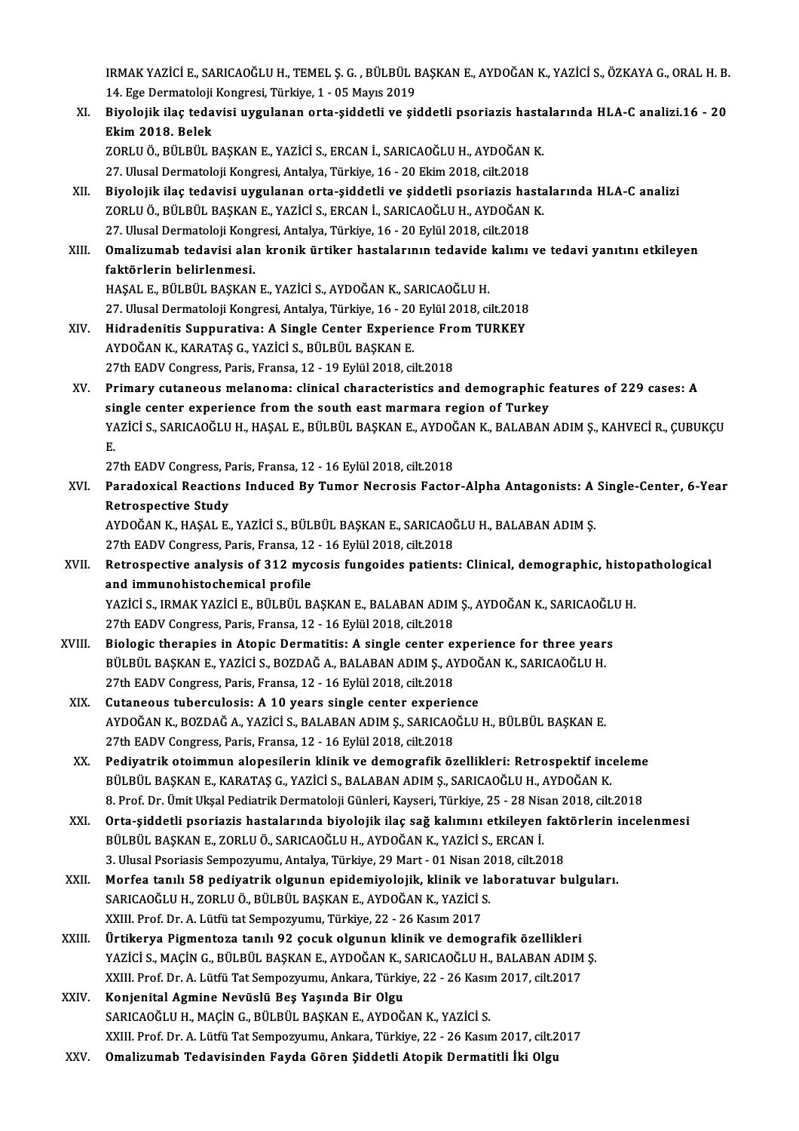IRMAK YAZİCİ E., SARICAOĞLU H., TEMEL Ş. G. , BÜLBÜL BAŞKAN E., AYDOĞAN K., YAZİCİ S., ÖZKAYA G., ORAL H. B.<br>14. Ege Dermateleji Kongresi, Türkiye, 1., OE Mayış 2019. 1RMAK YAZİCİ E., SARICAOĞLU H., TEMEL Ş. G. , BÜLBÜL E<br>14. Ege Dermatoloji Kongresi, Türkiye, 1 - 05 Mayıs 2019<br>Biyalajik ilaş tadayisi uygulanan arta siddetli ve si IRMAK YAZİCİ E., SARICAOĞLU H., TEMEL Ş. G. , BÜLBÜL BAŞKAN E., AYDOĞAN K., YAZİCİ S., ÖZKAYA G., ORAL H. B.<br>14. Ege Dermatoloji Kongresi, Türkiye, 1 - 05 Mayıs 2019<br>XI. Biyolojik ilaç tedavisi uygulanan orta-şiddetli

14. Ege Dermatoloji Kongresi, Türkiye, 1 - 05 Mayıs 2019<br>XI. Biyolojik ilaç tedavisi uygulanan orta-şiddetli ve şiddetli psoriazis hastalarında HLA-C analizi.16 - 20<br>Ekim 2018. Belek Biyolojik ilaç tedavisi uygulanan orta-şiddetli ve şiddetli psoriazis hasta<br>Ekim 2018. Belek<br>ZORLU Ö., BÜLBÜL BAŞKAN E., YAZİCİ S., ERCAN İ., SARICAOĞLU H., AYDOĞAN K.<br>27 Hursi Dermatoloji Kongresi Antalya Türkiye 16, 20 F Ekim 2018. Belek<br>ZORLU Ö., BÜLBÜL BAŞKAN E., YAZİCİ S., ERCAN İ., SARICAOĞLU H., AYDOĞAN<br>27. Ulusal Dermatoloji Kongresi, Antalya, Türkiye, 16 - 20 Ekim 2018, cilt.2018<br>Biyolojik ilaş tadayisi uygulanan orta siddetli ve si

- XORLU Ö., BÜLBÜL BAŞKAN E., YAZİCİ S., ERCAN İ., SARICAOĞLU H., AYDOĞAN K.<br>27. Ulusal Dermatoloji Kongresi, Antalya, Türkiye, 16 20 Ekim 2018, cilt.2018<br>XII. Biyolojik ilaç tedavisi uygulanan orta-şiddetli ve şiddetli ps 27. Ulusal Dermatoloji Kongresi, Antalya, Türkiye, 16 - 20 Ekim 2018, cilt.2018<br>Biyolojik ilaç tedavisi uygulanan orta-şiddetli ve şiddetli psoriazis hasta<br>ZORLU Ö., BÜLBÜL BAŞKAN E., YAZİCİ S., ERCAN İ., SARICAOĞLU H., AY Biyolojik ilaç tedavisi uygulanan orta-şiddetli ve şiddetli psoriazis ha:<br>ZORLU Ö., BÜLBÜL BAŞKAN E., YAZİCİ S., ERCAN İ., SARICAOĞLU H., AYDOĞAN<br>27. Ulusal Dermatoloji Kongresi, Antalya, Türkiye, 16 - 20 Eylül 2018, cilt. ZORLU Ö., BÜLBÜL BAŞKAN E., YAZİCİ S., ERCAN İ., SARICAOĞLU H., AYDOĞAN K.<br>27. Ulusal Dermatoloji Kongresi, Antalya, Türkiye, 16 - 20 Eylül 2018, cilt.2018<br>XIII. **Omalizumab tedavisi alan kronik ürtiker hastalarının te**
- 27. Ulusal Dermatoloji Kong<br><mark>Omalizumab tedavisi ala</mark>ı<br>faktörlerin belirlenmesi.<br>HASAL E. PÜLPÜL PASKAN Omalizumab tedavisi alan kronik ürtiker hastalarının tedavide<br>faktörlerin belirlenmesi.<br>HAŞAL E., BÜLBÜL BAŞKAN E., YAZİCİ S., AYDOĞAN K., SARICAOĞLU H.<br>27 Hlusel Dermetalaji Kangresi Antalya Türkiye 16, 20 Erlül 2019 si faktörlerin belirlenmesi.<br>HAŞAL E., BÜLBÜL BAŞKAN E., YAZİCİ S., AYDOĞAN K., SARICAOĞLU H.<br>27. Ulusal Dermatoloji Kongresi, Antalya, Türkiye, 16 - 20 Eylül 2018, cilt.2018

- HAŞAL E., BÜLBÜL BAŞKAN E., YAZİCİ S., AYDOĞAN K., SARICAOĞLU H.<br>27. Ulusal Dermatoloji Kongresi, Antalya, Türkiye, 16 20 Eylül 2018, cilt.2018<br>XIV. Hidradenitis Suppurativa: A Single Center Experience From TURKEY 27. Ulusal Dermatoloji Kongresi, Antalya, Türkiye, 16 - 20<br>Hidradenitis Suppurativa: A Single Center Experie:<br>AYDOĞAN K., KARATAŞ G., YAZİCİ S., BÜLBÜL BAŞKAN E.<br>27th EADV Congress, Paris, Exanse, 12, 10 Evlül 2018, si AYDOĞAN K., KARATAŞ G., YAZİCİ S., BÜLBÜL BAŞKAN E.<br>27th EADV Congress, Paris, Fransa, 12 - 19 Eylül 2018, cilt.2018
- AYDOĞAN K., KARATAŞ G., YAZİCİ S., BÜLBÜL BAŞKAN E.<br>27th EADV Congress, Paris, Fransa, 12 19 Eylül 2018, cilt.2018<br>XV. Primary cutaneous melanoma: clinical characteristics and demographic features of 229 cases: A 27th EADV Congress, Paris, Fransa, 12 - 19 Eylül 2018, cilt.2018<br>Primary cutaneous melanoma: clinical characteristics and demographic f<br>single center experience from the south east marmara region of Turkey<br>VAZICLS, SARICAO Primary cutaneous melanoma: clinical characteristics and demographic features of 229 cases: A<br>single center experience from the south east marmara region of Turkey<br>YAZİCİ S., SARICAOĞLU H., HAŞAL E., BÜLBÜL BAŞKAN E., AYDO si:<br>Y/<br>P. YAZİCİ S., SARICAOĞLU H., HAŞAL E., BÜLBÜL BAŞKAN E., AYDOČ<br>E.<br>27th EADV Congress, Paris, Fransa, 12 - 16 Eylül 2018, cilt.2018<br>Baradovisal Beastions, Indused By Tumor Nesresis Eastel

27th EADV Congress, Paris, Fransa, 12 - 16 Eylül 2018, cilt.2018

E.<br>27th EADV Congress, Paris, Fransa, 12 - 16 Eylül 2018, cilt.2018<br>XVI. Paradoxical Reactions Induced By Tumor Necrosis Factor-Alpha Antagonists: A Single-Center, 6-Year<br>Retrospective Study Paradoxical Reactions Induced By Tumor Necrosis Factor-Alpha Antagonists: A<br>Retrospective Study<br>AYDOĞAN K., HAŞAL E., YAZİCİ S., BÜLBÜL BAŞKAN E., SARICAOĞLU H., BALABAN ADIM Ş.<br>27th FADV Congress Paris Franca 12, 16 Friji

Retrospective Study<br>AYDOĞAN K., HAŞAL E., YAZİCİ S., BÜLBÜL BAŞKAN E., SARICAOĞ<br>27th EADV Congress, Paris, Fransa, 12 - 16 Eylül 2018, cilt.2018<br>Betrospective apalysis of 312 mysosis fungoides patients AYDOĞAN K., HAŞAL E., YAZİCİ S., BÜLBÜL BAŞKAN E., SARICAOĞLU H., BALABAN ADIM Ş.<br>27th EADV Congress, Paris, Fransa, 12 - 16 Eylül 2018, cilt.2018<br>XVII. Retrospective analysis of 312 mycosis fungoides patients: Clinical, d

- 27th EADV Congress, Paris, Fransa, 12<br>Retrospective analysis of 312 myc<br>and immunohistochemical profile<br>yazici s. IPMAK vazici F. Pül Pül P Retrospective analysis of 312 mycosis fungoides patients: Clinical, demographic, history<br>and immunohistochemical profile<br>YAZİCİ S., IRMAK YAZİCİ E., BÜLBÜL BAŞKAN E., BALABAN ADIM Ş., AYDOĞAN K., SARICAOĞLU H.<br>27th FADV Co and immunohistochemical profile<br>YAZİCİ S., IRMAK YAZİCİ E., BÜLBÜL BAŞKAN E., BALABAN ADIM Ş., AYDOĞAN K., SARICAOĞLU H.<br>27th EADV Congress, Paris, Fransa, 12 - 16 Eylül 2018, cilt.2018
- YAZICI S., IRMAK YAZICI E., BÜLBÜL BAŞKAN E., BALABAN ADIM Ş., AYDOĞAN K., SARICAOĞLI<br>27th EADV Congress, Paris, Fransa, 12 16 Eylül 2018, cilt.2018<br>XVIII. Biologic therapies in Atopic Dermatitis: A single center experie 27th EADV Congress, Paris, Fransa, 12 - 16 Eylül 2018, cilt.2018<br>Biologic therapies in Atopic Dermatitis: A single center experience for three year<br>BÜLBÜL BAŞKAN E., YAZİCİ S., BOZDAĞ A., BALABAN ADIM Ş., AYDOĞAN K., SARIC BÜLBÜL BAŞKAN E., YAZİCİ S., BOZDAĞ A., BALABAN ADIM Ş., AYDOĞAN K., SARICAOĞLU H.<br>27th EADV Congress, Paris, Fransa, 12 - 16 Eylül 2018, cilt.2018 BÜLBÜL BAŞKAN E., YAZİCİ S., BOZDAĞ A., BALABAN ADIM Ş., AYDOĞ<br>27th EADV Congress, Paris, Fransa, 12 - 16 Eylül 2018, cilt.2018<br>XIX. Cutaneous tuberculosis: A 10 years single center experience
- AYDOĞAN K., BOZDAĞ A., YAZİCİ S., BALABAN ADIM Ş., SARICAOĞLU H., BÜLBÜL BAŞKAN E.<br>27th EADV Congress, Paris, Fransa, 12 16 Eylül 2018, cilt.2018 Cutaneous tuberculosis: A 10 years single center experie<br>AYDOĞAN K., BOZDAĞ A., YAZİCİ S., BALABAN ADIM Ş., SARICAO<br>27th EADV Congress, Paris, Fransa, 12 - 16 Eylül 2018, cilt.2018<br>Bediyatrik ataimmun alanesilerin klinik v AYDOĞAN K., BOZDAĞ A., YAZİCİ S., BALABAN ADIM Ş., SARICAOĞLU H., BÜLBÜL BAŞKAN E.<br>27th EADV Congress, Paris, Fransa, 12 - 16 Eylül 2018, cilt.2018<br>XX. Pediyatrik otoimmun alopesilerin klinik ve demografik özellikleri: Ret
- 27th EADV Congress, Paris, Fransa, 12 16 Eylül 2018, cilt.2018<br>Pediyatrik otoimmun alopesilerin klinik ve demografik özellikleri: Retrospektif inc<br>BÜLBÜL BAŞKAN E., KARATAŞ G., YAZİCİ S., BALABAN ADIM Ş., SARICAOĞLU H., BÜLBÜL BAŞKAN E., KARATAŞ G., YAZİCİ S., BALABAN ADIM Ş., SARICAOĞLU H., AYDOĞAN K.<br>8. Prof. Dr. Ümit Ukşal Pediatrik Dermatoloji Günleri, Kayseri, Türkiye, 25 - 28 Nisan 2018, cilt.2018 BÜLBÜL BAŞKAN E., KARATAŞ G., YAZİCİ S., BALABAN ADIM Ş., SARICAOĞLU H., AYDOĞAN K.<br>8. Prof. Dr. Ümit Ukşal Pediatrik Dermatoloji Günleri, Kayseri, Türkiye, 25 - 28 Nisan 2018, cilt.2018<br>XXI. Orta-şiddetli psoriazis ha
- 8. Prof. Dr. Ümit Ukşal Pediatrik Dermatoloji Günleri, Kayseri, Türkiye, 25 28 Nis<br>Orta-şiddetli psoriazis hastalarında biyolojik ilaç sağ kalımını etkileyen<br>BÜLBÜL BAŞKAN E., ZORLU Ö., SARICAOĞLU H., AYDOĞAN K., YAZİCİ Orta-şiddetli psoriazis hastalarında biyolojik ilaç sağ kalımını etkileyen fakt<br>BÜLBÜL BAŞKAN E., ZORLU Ö., SARICAOĞLU H., AYDOĞAN K., YAZİCİ S., ERCAN İ.<br>3. Ulusal Psoriasis Sempozyumu, Antalya, Türkiye, 29 Mart - 01 Nisa BÜLBÜL BAŞKAN E., ZORLU Ö., SARICAOĞLU H., AYDOĞAN K., YAZİCİ S., ERCAN İ.<br>3. Ulusal Psoriasis Sempozyumu, Antalya, Türkiye, 29 Mart - 01 Nisan 2018, cilt.2018<br>XXII. Morfea tanılı 58 pediyatrik olgunun epidemiyolojik, klin
- 3. Ulusal Psoriasis Sempozyumu, Antalya, Türkiye, 29 Mart 01 Nisan 2018, cilt.2018<br>Morfea tanılı 58 pediyatrik olgunun epidemiyolojik, klinik ve laboratuvar b<br>SARICAOĞLU H., ZORLU Ö., BÜLBÜL BAŞKAN E., AYDOĞAN K., YAZİCİ Morfea tanılı 58 pediyatrik olgunun epidemiyolojik, klinik ve l<br>SARICAOĞLU H., ZORLU Ö., BÜLBÜL BAŞKAN E., AYDOĞAN K., YAZİCİ S<br>XXIII. Prof. Dr. A. Lütfü tat Sempozyumu, Türkiye, 22 - 26 Kasım 2017<br>Ürtikanya Bismontoga tan
- XXIII. Ürtikerya Pigmentoza tanılı 92 çocuk olgunun klinik ve demografik özellikleri YAZİCİ S., MAÇİN G., BÜLBÜL BAŞKAN E., AYDOĞAN K., SARICAOĞLU H., BALABAN ADIM Ş. Ürtikerya Pigmentoza tanılı 92 çocuk olgunun klinik ve demografik özellikleri<br>YAZİCİ S., MAÇİN G., BÜLBÜL BAŞKAN E., AYDOĞAN K., SARICAOĞLU H., BALABAN ADIM<br>XXIII. Prof. Dr. A. Lütfü Tat Sempozyumu, Ankara, Türkiye, 22 - 2 YAZİCİ S., MAÇİN G., BÜLBÜL BAŞKAN E., AYDOĞAN K., :<br>XXIII. Prof. Dr. A. Lütfü Tat Sempozyumu, Ankara, Türki<br>XXIV. Konjenital Agmine Nevüslü Beş Yaşında Bir Olgu<br>SARICAQĞLU H. MAÇİN G. BÜLBÜL BASKAN E. AYDOĞ
- XXIII. Prof. Dr. A. Lütfü Tat Sempozyumu, Ankara, Türkiye, 22 26 Kasın<br><mark>Konjenital Agmine Nevüslü Beş Yaşında Bir Olgu</mark><br>SARICAOĞLU H., MAÇİN G., BÜLBÜL BAŞKAN E., AYDOĞAN K., YAZİCİ S.<br>YYUL Prof. Dr. A. Lütfü Tet Semperu Konjenital Agmine Nevüslü Beş Yaşında Bir Olgu<br>SARICAOĞLU H., MAÇİN G., BÜLBÜL BAŞKAN E., AYDOĞAN K., YAZİCİ S.<br>XXIII. Prof. Dr. A. Lütfü Tat Sempozyumu, Ankara, Türkiye, 22 - 26 Kasım 2017, cilt.2017
- XXV. Omalizumab Tedavisinden Fayda Gören Şiddetli Atopik Dermatitli İki Olgu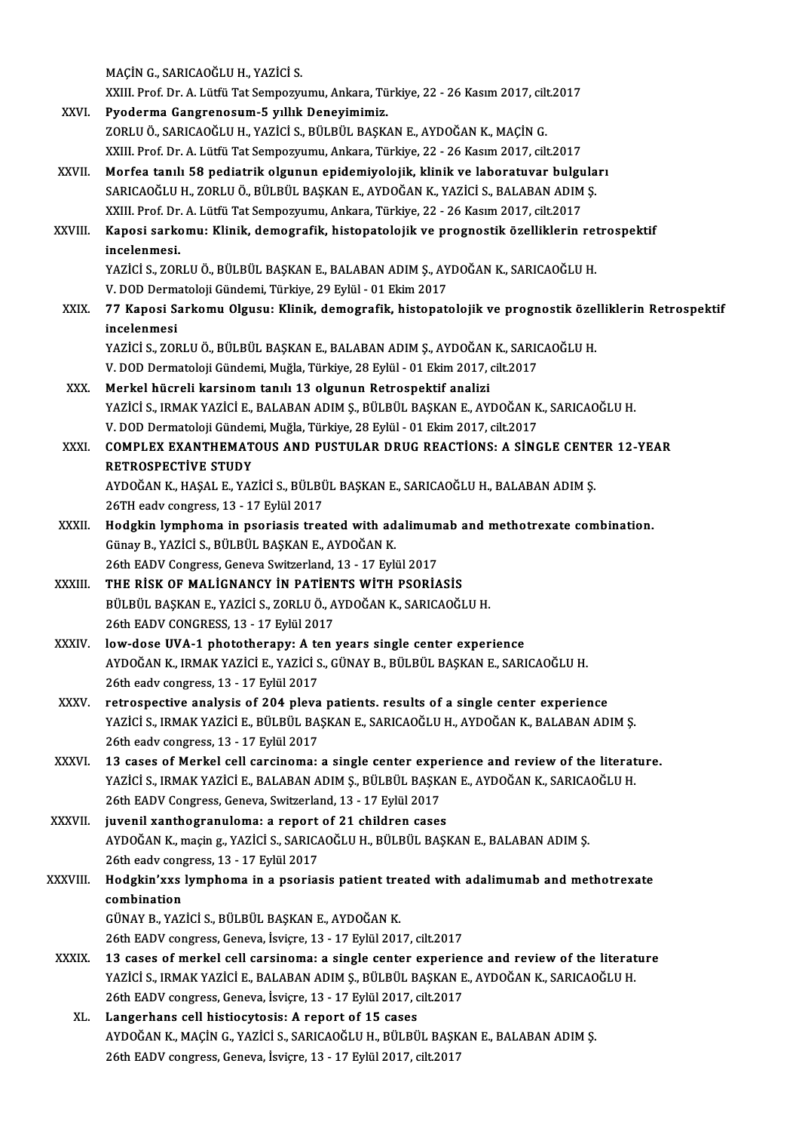MAÇİNG.,SARICAOĞLUH.,YAZİCİ S. MAÇİN G., SARICAOĞLU H., YAZİCİ S.<br>XXIII. Prof. Dr. A. Lütfü Tat Sempozyumu, Ankara, Türkiye, 22 - 26 Kasım 2017, cilt.2017<br>Pyodorma Cangranosum 5 yıllık Denevimimiz XXVI. Pyoderma Gangrenosum-5 yıllık Deneyimimiz.<br>ZORLU Ö., SARICAOĞLU H., YAZİCİ S., BÜLBÜL BAŞKAN E., AYDOĞAN K., MAÇİN G. XXIII. Prof. Dr. A. Lütfü Tat Sempozyumu, Ankara, Türkiye, 22 - 26 Kasım 2017, cilt<br>Pyoderma Gangrenosum-5 yıllık Deneyimimiz.<br>ZORLU Ö., SARICAOĞLU H., YAZİCİ S., BÜLBÜL BAŞKAN E., AYDOĞAN K., MAÇİN G.<br>YYUL Prof. Dr. A. Lü XXIII. Prof. Dr. A. Lütfü Tat Sempozyumu, Ankara, Türkiye, 22 - 26 Kasım 2017, cilt.2017 XXVII. Morfea tanılı 58 pediatrik olgunun epidemiyolojik, klinik ve laboratuvar bulguları XXIII. Prof. Dr. A. Lütfü Tat Sempozyumu, Ankara, Türkiye, 22 - 26 Kasım 2017, cilt.2017<br>Morfea tanılı 58 pediatrik olgunun epidemiyolojik, klinik ve laboratuvar bulgula<br>SARICAOĞLU H., ZORLU Ö., BÜLBÜL BAŞKAN E., AYDOĞAN K Morfea tanılı 58 pediatrik olgunun epidemiyolojik, klinik ve laboratuvar bulgu<br>SARICAOĞLU H., ZORLU Ö., BÜLBÜL BAŞKAN E., AYDOĞAN K., YAZİCİ S., BALABAN ADIM<br>XXIII. Prof. Dr. A. Lütfü Tat Sempozyumu, Ankara, Türkiye, 22 - SARICAOĞLU H., ZORLU Ö., BÜLBÜL BAŞKAN E., AYDOĞAN K., YAZİCİ S., BALABAN ADIM Ş.<br>XXIII. Prof. Dr. A. Lütfü Tat Sempozyumu, Ankara, Türkiye, 22 - 26 Kasım 2017, cilt.2017<br>XXVIII. Kaposi sarkomu: Klinik, demografik, histopa XXIII. Prof. Dr.<br>Kaposi sarko<br>incelenmesi.<br>vazici s. zop Kaposi sarkomu: Klinik, demografik, histopatolojik ve prognostik özelliklerin ret<br>incelenmesi.<br>YAZİCİ S., ZORLU Ö., BÜLBÜL BAŞKAN E., BALABAN ADIM Ş., AYDOĞAN K., SARICAOĞLU H.<br>V. DOD Dermetoloji Gündemi Türkiye, 29 Erlül incelenmesi.<br>YAZİCİ S., ZORLU Ö., BÜLBÜL BAŞKAN E., BALABAN ADIM Ş., AYDOĞAN K., SARICAOĞLU H.<br>V. DOD Dermatoloji Gündemi, Türkiye, 29 Eylül - 01 Ekim 2017 YAZİCİ S., ZORLU Ö., BÜLBÜL BAŞKAN E., BALABAN ADIM Ş., AYDOĞAN K., SARICAOĞLU H.<br>V. DOD Dermatoloji Gündemi, Türkiye, 29 Eylül - 01 Ekim 2017<br>XXIX. 77 Kaposi Sarkomu Olgusu: Klinik, demografik, histopatolojik ve progn V. DOD Derm<br>77 Kaposi S.<br>incelenmesi<br>vazici s. zor incelenmesi<br>YAZİCİ S., ZORLU Ö., BÜLBÜL BAŞKAN E., BALABAN ADIM Ş., AYDOĞAN K., SARICAOĞLU H. incelenmesi<br>YAZİCİ S., ZORLU Ö., BÜLBÜL BAŞKAN E., BALABAN ADIM Ş., AYDOĞAN K., SARI(<br>V. DOD Dermatoloji Gündemi, Muğla, Türkiye, 28 Eylül - 01 Ekim 2017, cilt.2017<br>Markal büspəli karsinam tanılı 12 olsunun Betraspektif an YAZİCİ S., ZORLU Ö., BÜLBÜL BAŞKAN E., BALABAN ADIM Ş., AYDOĞAN<br>V. DOD Dermatoloji Gündemi, Muğla, Türkiye, 28 Eylül - 01 Ekim 2017,<br>XXX. Merkel hücreli karsinom tanılı 13 olgunun Retrospektif analizi<br>VAZİCİ S. IBMAK YAZİC V. DOD Dermatoloji Gündemi, Muğla, Türkiye, 28 Eylül - 01 Ekim 2017, cilt.2017<br><mark>Merkel hücreli karsinom tanılı 13 olgunun Retrospektif analizi</mark><br>YAZİCİ S., IRMAK YAZİCİ E., BALABAN ADIM Ş., BÜLBÜL BAŞKAN E., AYDOĞAN K., SAR Merkel hücreli karsinom tanılı 13 olgunun Retrospektif analizi<br>YAZİCİ S., IRMAK YAZİCİ E., BALABAN ADIM Ş., BÜLBÜL BAŞKAN E., AYDOĞAN K<br>V. DOD Dermatoloji Gündemi, Muğla, Türkiye, 28 Eylül - 01 Ekim 2017, cilt.2017<br>COMBLEY YAZİCİ S., IRMAK YAZİCİ E., BALABAN ADIM Ş., BÜLBÜL BAŞKAN E., AYDOĞAN K., SARICAOĞLU H.<br>V. DOD Dermatoloji Gündemi, Muğla, Türkiye, 28 Eylül - 01 Ekim 2017, cilt.2017<br>XXXI. COMPLEX EXANTHEMATOUS AND PUSTULAR DRUG REACTİON V. DOD Dermatoloji Günden<br>COMPLEX EXANTHEMAT<br>RETROSPECTİVE STUDY<br>AYDOĞAN K. HASALE XAZ COMPLEX EXANTHEMATOUS AND PUSTULAR DRUG REACTIONS: A SINGLE CENT<br>RETROSPECTIVE STUDY<br>AYDOĞAN K., HAŞAL E., YAZICI S., BÜLBÜL BAŞKAN E., SARICAOĞLU H., BALABAN ADIM Ş.<br>26TH QQdy songress, 12, 17 Eylül 2017 RETROSPECTİVE STUDY<br>AYDOĞAN K., HAŞAL E., YAZİCİ S., BÜLBÜL BAŞKAN E., SARICAOĞLU H., BALABAN ADIM Ş.<br>26TH eadv congress, 13 - 17 Eylül 2017 AYDOĞAN K., HAŞAL E., YAZİCİ S., BÜLBÜL BAŞKAN E., SARICAOĞLU H., BALABAN ADIM Ş.<br>26TH eadv congress, 13 - 17 Eylül 2017<br>XXXII. Hodgkin lymphoma in psoriasis treated with adalimumab and methotrexate combination.<br>6 Cünav B. 26TH eadv congress, 13 - 17 Eylül 2017<br>Hodgkin lymphoma in psoriasis treated with ad<br>Günay B., YAZİCİ S., BÜLBÜL BAŞKAN E., AYDOĞAN K.<br>26th FADV Congress Coneve Suitzerland 12, 17 Eyli Hodgkin lymphoma in psoriasis treated with adalimum<br>Günay B., YAZİCİ S., BÜLBÜL BAŞKAN E., AYDOĞAN K.<br>26th EADV Congress, Geneva Switzerland, 13 - 17 Eylül 2017<br>THE RİSK OF MALİCNANCY İN BATİENTS WİTH RSORLA Günay B., YAZİCİ S., BÜLBÜL BAŞKAN E., AYDOĞAN K.<br>26th EADV Congress, Geneva Switzerland, 13 - 17 Eylül 2017<br>XXXIII. THE RİSK OF MALİGNANCY İN PATİENTS WİTH PSORİASİS BÜLBÜLBAŞKANE.,YAZİCİ S.,ZORLUÖ.,AYDOĞANK.,SARICAOĞLUH. 26th EADV CONGRESS, 13 - 17 Eylül 2017 XXXIV. low-dose UVA-1 phototherapy: A ten years single center experience AYDOĞANK., IRMAKYAZİCİE.,YAZİCİ S.,GÜNAYB.,BÜLBÜLBAŞKANE.,SARICAOĞLUH. 26th eadv congress, 13 - 17 Eylül 2017 AYDOĞAN K., IRMAK YAZİCİ E., YAZİCİ S., GÜNAY B., BÜLBÜL BAŞKAN E., SARICAOĞLU H.<br>26th eadv congress, 13 - 17 Eylül 2017<br>XXXV. Petrospective analysis of 204 pleva patients. results of a single center experience<br>XAZİCİ S. I YAZİCİ S., IRMAK YAZİCİ E., BÜLBÜL BAŞKAN E., SARICAOĞLU H., AYDOĞAN K., BALABAN ADIM Ş.<br>26th eadv congress, 13 - 17 Eylül 2017 retrospective analysis of 204 pleva<br>YAZİCİ S., IRMAK YAZİCİ E., BÜLBÜL BA:<br>26th eadv congress, 13 - 17 Eylül 2017<br>13 sasas of Markal sall sarsinama: YAZICI S., IRMAK YAZICI E., BÜLBÜL BAŞKAN E., SARICAOĞLU H., AYDOĞAN K., BALABAN ADIM Ş.<br>26th eadv congress, 13 - 17 Eylül 2017<br>XXXVI. 13 cases of Merkel cell carcinoma: a single center experience and review of the literat 26th eadv congress, 13 - 17 Eylül 2017<br>13 cases of Merkel cell carcinoma: a single center experience and review of the literat<br>YAZİCİ S., IRMAK YAZİCİ E., BALABAN ADIM Ş., BÜLBÜL BAŞKAN E., AYDOĞAN K., SARICAOĞLU H.<br>26th F 13 cases of Merkel cell carcinoma: a single center expe<br>YAZİCİ S., IRMAK YAZİCİ E., BALABAN ADIM Ş., BÜLBÜL BAŞK.<br>26th EADV Congress, Geneva, Switzerland, 13 - 17 Eylül 2017<br>iuvonil xanthograpulama: a raport of 21 ebildran YAZİCİ S., IRMAK YAZİCİ E., BALABAN ADIM Ş., BÜLBÜL BAŞKA<br>26th EADV Congress, Geneva, Switzerland, 13 - 17 Eylül 2017<br>XXXVII. I juvenil xanthogranuloma: a report of 21 children cases<br>AYDOĞAN K magin g. YAZİCİ S. SABICAQĞLL AYDOĞAN K., maçin g., YAZİCİ S., SARICAOĞLU H., BÜLBÜL BAŞKAN E., BALABAN ADIM Ş. juvenil xanthogranuloma: a report of 21 children cases AYDOĞAN K., maçin g., YAZİCİ S., SARICAOĞLU H., BÜLBÜL BAŞKAN E., BALABAN ADIM Ş.<br>26th eadv congress, 13 - 17 Eylül 2017<br>XXXVIII. Hodgkin'xxs lymphoma in a psoriasis patient treated with adalimumab and methotrexate 26th eadv congress, 13 - 17 Eylül 2017<br>Hodgkin'xxs lymphoma in a psoriasis patient tre<br>combination<br>GÜNAY B., YAZİCİ S., BÜLBÜL BASKAN E., AYDOĞAN K. Hodgkin'xxs lymphoma in a psoriasis patient tre<br>combination<br>GÜNAY B., YAZİCİ S., BÜLBÜL BAŞKAN E., AYDOĞAN K.<br>26th EADV congress Consyn İsviere 12, 17 Erlül 201 26th EADV congress, Geneva, İsviçre, 13 - 17 Eylül 2017, cilt.2017 XXXIX. 13 cases of merkel cell carsinoma: a single center experience and review of the literature 26th EADV congress, Geneva, İsviçre, 13 - 17 Eylül 2017, cilt.2017<br>13 cases of merkel cell carsinoma: a single center experience and review of the literat<br>YAZİCİ S., IRMAK YAZİCİ E., BALABAN ADIM Ş., BÜLBÜL BAŞKAN E., AYDO 13 cases of merkel cell carsinoma: a single center experier<br>YAZİCİ S., IRMAK YAZİCİ E., BALABAN ADIM Ş., BÜLBÜL BAŞKAN E<br>26th EADV congress, Geneva, İsviçre, 13 - 17 Eylül 2017, cilt.2017<br>Langarhane sell bistiqeytesisy A r YAZICI S., IRMAK YAZICI E., BALABAN ADIM Ş., BÜLBÜL B.<br>26th EADV congress, Geneva, İsviçre, 13 - 17 Eylül 2017, c<br>XL. Langerhans cell histiocytosis: A report of 15 cases 26th EADV congress, Geneva, İsviçre, 13 - 17 Eylül 2017, cilt.2017<br>Langerhans cell histiocytosis: A report of 15 cases<br>AYDOĞAN K., MAÇİN G., YAZİCİ S., SARICAOĞLU H., BÜLBÜL BAŞKAN E., BALABAN ADIM Ş. 26th EADV congress, Geneva, İsviçre, 13 - 17 Eylül 2017, cilt.2017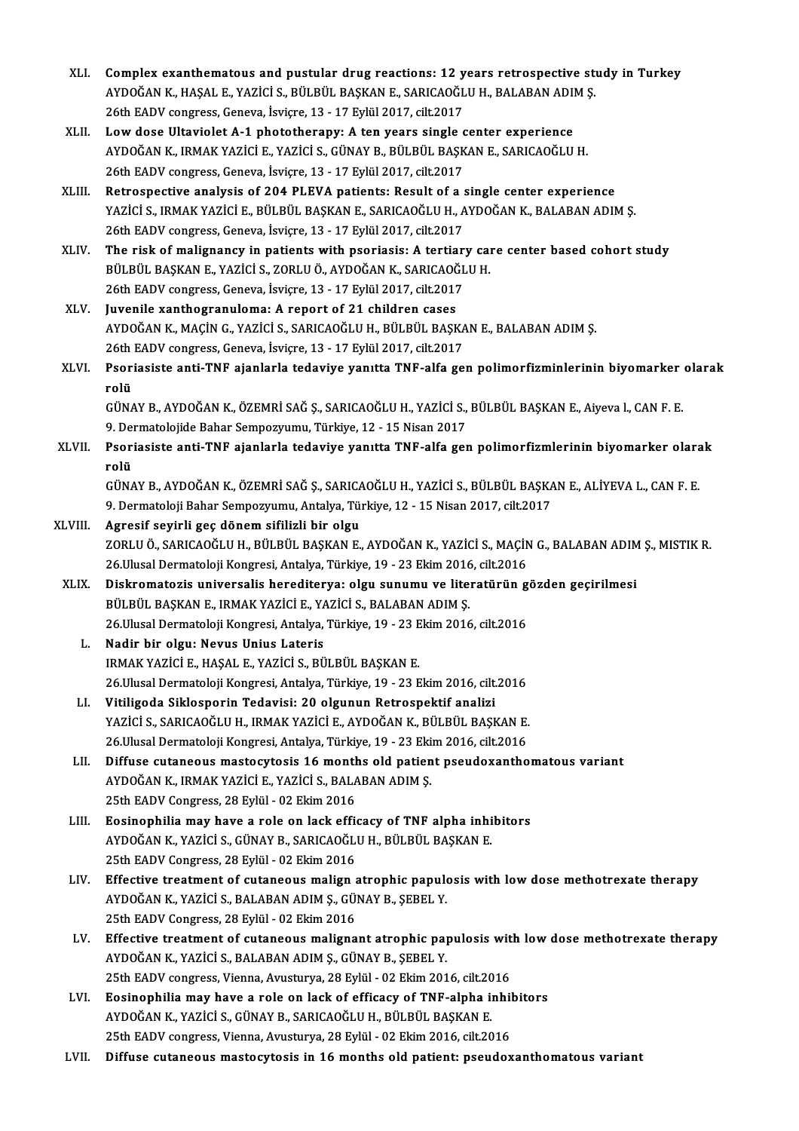- XLI. Complex exanthematous and pustular drug reactions: 12 years retrospective study in Turkey<br>AVDOČAN K. HASALE VAZICI S. PÜLPIU PASKANE, SARICAOČLUH, PALAPAN ADIM S. Complex exanthematous and pustular drug reactions: 12 years retrospective sto<br>AYDOĞAN K., HAŞAL E., YAZİCİ S., BÜLBÜL BAŞKAN E., SARICAOĞLU H., BALABAN ADIM Ş. Complex exanthematous and pustular drug reactions: 12 y<br>AYDOĞAN K., HAŞAL E., YAZİCİ S., BÜLBÜL BAŞKAN E., SARICAOĞL<br>26th EADV congress, Geneva, İsviçre, 13 - 17 Eylül 2017, cilt.2017<br>Law dasa Ultavialat A. 1 nhatatharanyu AYDOĞAN K., HAŞAL E., YAZİCİ S., BÜLBÜL BAŞKAN E., SARICAOĞLU H., BALABAN ADII<br>26th EADV congress, Geneva, İsviçre, 13 - 17 Eylül 2017, cilt.2017<br>XLII. Low dose Ultaviolet A-1 phototherapy: A ten years single center experi
- 26th EADV congress, Geneva, İsviçre, 13 17 Eylül 2017, cilt.2017<br>Low dose Ultaviolet A-1 phototherapy: A ten years single center experience<br>AYDOĞAN K., IRMAK YAZİCİ E., YAZİCİ S., GÜNAY B., BÜLBÜL BAŞKAN E., SARICAOĞLU H Low dose Ultaviolet A-1 phototherapy: A ten years single of AYDOĞAN K., IRMAK YAZİCİ E., YAZİCİ S., GÜNAY B., BÜLBÜL BAŞK<br>26th EADV congress, Geneva, İsviçre, 13 - 17 Eylül 2017, cilt.2017<br>Petrespective analysis of 204 BLE AYDOĞAN K., IRMAK YAZİCİ E., YAZİCİ S., GÜNAY B., BÜLBÜL BAŞKAN E., SARICAOĞLU H.<br>26th EADV congress, Geneva, İsviçre, 13 - 17 Eylül 2017, cilt.2017<br>XLIII. Retrospective analysis of 204 PLEVA patients: Result of a single c
- YAZİCİ S., IRMAK YAZİCİ E., BÜLBÜL BAŞKAN E., SARICAOĞLU H., AYDOĞAN K., BALABAN ADIM Ş.<br>26th EADV congress. Geneva. İsvicre. 13 17 Evlül 2017. cilt.2017 Retrospective analysis of 204 PLEVA patients: Result of a :<br>YAZİCİ S., IRMAK YAZİCİ E., BÜLBÜL BAŞKAN E., SARICAOĞLU H., A<br>26th EADV congress, Geneva, İsviçre, 13 - 17 Eylül 2017, cilt.2017<br>The rick of malianangy in patien YAZICI S., IRMAK YAZICI E., BÜLBÜL BAŞKAN E., SARICAOĞLU H., AYDOĞAN K., BALABAN ADIM Ş.<br>26th EADV congress, Geneva, İsviçre, 13 - 17 Eylül 2017, cilt.2017<br>XLIV. The risk of malignancy in patients with psoriasis: A tertiar
- 26th EADV congress, Geneva, İsviçre, 13 17 Eylül 2017, cilt.2017<br>The risk of malignancy in patients with psoriasis: A tertiary can<br>BÜLBÜL BAŞKAN E., YAZİCİ S., ZORLU Ö., AYDOĞAN K., SARICAOĞLU H.<br>26th EADV songress Conev The risk of malignancy in patients with psoriasis: A tertiar<br>BÜLBÜL BAŞKAN E., YAZİCİ S., ZORLU Ö., AYDOĞAN K., SARICAOĞL<br>26th EADV congress, Geneva, İsviçre, 13 - 17 Eylül 2017, cilt.2017<br>Iuvenile ventbestanınlama: A repo BÜLBÜL BAŞKAN E., YAZİCİ S., ZORLU Ö., AYDOĞAN K., SARICAOĞLU H.<br>26th EADV congress, Geneva, İsviçre, 13 - 17 Eylül 2017, cilt.2017<br>XLV. Juvenile xanthogranuloma: A report of 21 children cases
- 26th EADV congress, Geneva, İsviçre, 13 17 Eylül 2017, cilt.2017<br>Juvenile xanthogranuloma: A report of 21 children cases<br>AYDOĞAN K., MAÇİN G., YAZİCİ S., SARICAOĞLU H., BÜLBÜL BAŞKAN E., BALABAN ADIM Ş.<br>26th FADV sangres Juvenile xanthogranuloma: A report of 21 children cases<br>AYDOĞAN K., MAÇİN G., YAZİCİ S., SARICAOĞLU H., BÜLBÜL BAŞKA<br>26th EADV congress, Geneva, İsviçre, 13 - 17 Eylül 2017, cilt.2017<br>Peoriasiste enti TNE sianlarla tedeviy AYDOĞAN K., MAÇİN G., YAZİCİ S., SARICAOĞLU H., BÜLBÜL BAŞKAN E., BALABAN ADIM Ş.<br>26th EADV congress, Geneva, İsviçre, 13 - 17 Eylül 2017, cilt.2017<br>XLVI. Psoriasiste anti-TNF ajanlarla tedaviye yanıtta TNF-alfa gen po
- 26th EADV congress, Geneva, İsviçre, 13 17 Eylül 2017, cilt.2017<br>Psoriasiste anti-TNF ajanlarla tedaviye yanıtta TNF-alfa ge<br>rolü Psoriasiste anti-TNF ajanlarla tedaviye yanıtta TNF-alfa gen polimorfizminlerinin biyomarker<br>rolü<br>GÜNAY B., AYDOĞAN K., ÖZEMRİ SAĞ Ş., SARICAOĞLU H., YAZİCİ S., BÜLBÜL BAŞKAN E., Aiyeva l., CAN F. E.<br>9. Dermetelejide Beber

GÜNAY B., AYDOĞAN K., ÖZEMRİ SAĞ Ş., SARICAOĞLU H., YAZİCİ S., BÜLBÜL BAŞKAN E., Aiyeva l., CAN F. E.<br>9. Dermatolojide Bahar Sempozyumu, Türkiye, 12 - 15 Nisan 2017 GÜNAY B., AYDOĞAN K., ÖZEMRİ SAĞ Ş., SARICAOĞLU H., YAZİCİ S., BÜLBÜL BAŞKAN E., Aiyeva l., CAN F. E.<br>9. Dermatolojide Bahar Sempozyumu, Türkiye, 12 - 15 Nisan 2017<br>XLVII. Psoriasiste anti-TNF ajanlarla tedaviye yanıtt

9. Dei<br><mark>Psor</mark>i<br>rolü<br>cün*t* Psoriasiste anti-TNF ajanlarla tedaviye yanıtta TNF-alfa gen polimorfizmlerinin biyomarker olara<br>rolü<br>GÜNAY B., AYDOĞAN K., ÖZEMRİ SAĞ Ş., SARICAOĞLU H., YAZİCİ S., BÜLBÜL BAŞKAN E., ALİYEVA L., CAN F. E.<br>9. Dermateleji Ba

rolü<br>GÜNAY B., AYDOĞAN K., ÖZEMRİ SAĞ Ş., SARICAOĞLU H., YAZİCİ S., BÜLBÜL BAŞKAN E., ALİYEVA L., CAN F. E.<br>9. Dermatoloji Bahar Sempozyumu, Antalya, Türkiye, 12 - 15 Nisan 2017, cilt.2017

- XLVIII. Agresif seyirli geç dönem sifilizli bir olgu 9. Dermatoloji Bahar Sempozyumu, Antalya, Türkiye, 12 - 15 Nisan 2017, cilt.2017<br><mark>Agresif seyirli geç dönem sifilizli bir olgu</mark><br>ZORLU Ö., SARICAOĞLU H., BÜLBÜL BAŞKAN E., AYDOĞAN K., YAZİCİ S., MAÇİN G., BALABAN ADIM Ş., M Agresif seyirli geç dönem sifilizli bir olgu<br>ZORLU Ö., SARICAOĞLU H., BÜLBÜL BAŞKAN E., AYDOĞAN K., YAZİCİ S., MAÇİN<br>26.Ulusal Dermatoloji Kongresi, Antalya, Türkiye, 19 - 23 Ekim 2016, cilt.2016<br>Diskromatoris universeliş XORLU Ö., SARICAOĞLU H., BÜLBÜL BAŞKAN E., AYDOĞAN K., YAZİCİ S., MAÇİN G., BALABAN ADIM<br>26.Ulusal Dermatoloji Kongresi, Antalya, Türkiye, 19 - 23 Ekim 2016, cilt.2016<br>XLIX. Diskromatozis universalis herediterya: olgu
	- 26.Ulusal Dermatoloji Kongresi, Antalya, Türkiye, 19 23 Ekim 2016, cilt.2016<br>Diskromatozis universalis herediterya: olgu sunumu ve literatürün gözden geçirilmesi<br>BÜLBÜL BAŞKAN E., IRMAK YAZİCİ E., YAZİCİ S., BALABAN ADIM Diskromatozis universalis herediterya: olgu sunumu ve literatürün g<br>BÜLBÜL BAŞKAN E., IRMAK YAZİCİ E., YAZİCİ S., BALABAN ADIM Ş.<br>26.Ulusal Dermatoloji Kongresi, Antalya, Türkiye, 19 - 23 Ekim 2016, cilt.2016<br>Nadin bir olg
		- L. Nadir bir olgu: Nevus Unius Lateris 26.Ulusal Dermatoloji Kongresi, Antalya, Türkiye, 19 - 23 E<br>Nadir bir olgu: Nevus Unius Lateris<br>IRMAK YAZİCİ E., HAŞAL E., YAZİCİ S., BÜLBÜL BAŞKAN E.<br>26 Ulusal Dermatoloji Kongresi, Antalya Türkiye 19 - 22 E Nadir bir olgu: Nevus Unius Lateris<br>IRMAK YAZİCİ E., HAŞAL E., YAZİCİ S., BÜLBÜL BAŞKAN E.<br>26.Ulusal Dermatoloji Kongresi, Antalya, Türkiye, 19 - 23 Ekim 2016, cilt.2016<br>Vitiligada Siklasporin Tadavisi: 20 algunun Batrospo IRMAK YAZİCİ E., HAŞAL E., YAZİCİ S., BÜLBÜL BAŞKAN E.<br>26.Ulusal Dermatoloji Kongresi, Antalya, Türkiye, 19 - 23 Ekim 2016, cilt.<br>LI. Vitiligoda Siklosporin Tedavisi: 20 olgunun Retrospektif analizi
		- 26.Ulusal Dermatoloji Kongresi, Antalya, Türkiye, 19 23 Ekim 2016, cilt.2016<br>Vitiligoda Siklosporin Tedavisi: 20 olgunun Retrospektif analizi<br>YAZİCİ S., SARICAOĞLU H., IRMAK YAZİCİ E., AYDOĞAN K., BÜLBÜL BAŞKAN E.<br>26 Ulu Vitiligoda Siklosporin Tedavisi: 20 olgunun Retrospektif analizi<br>YAZİCİ S., SARICAOĞLU H., IRMAK YAZİCİ E., AYDOĞAN K., BÜLBÜL BAŞKAN E.<br>26.Ulusal Dermatoloji Kongresi, Antalya, Türkiye, 19 - 23 Ekim 2016, cilt.2016<br>Diffus
		- YAZİCİ S., SARICAOĞLU H., IRMAK YAZİCİ E., AYDOĞAN K., BÜLBÜL BAŞKAN E.<br>26.Ulusal Dermatoloji Kongresi, Antalya, Türkiye, 19 23 Ekim 2016, cilt.2016<br>LII. Diffuse cutaneous mastocytosis 16 months old patient pseudoxan 26.Ulusal Dermatoloji Kongresi, Antalya, Türkiye, 19 - 23 Eki<br>Diffuse cutaneous mastocytosis 16 months old patien<br>AYDOĞAN K., IRMAK YAZİCİ E., YAZİCİ S., BALABAN ADIM Ş.<br>25th FADV Congress 29 Evlül - 02 Ekim 2016 25th EADV Congress, 28 Eylül - 02 Ekim 2016 AYDOĞAN K., IRMAK YAZİCİ E., YAZİCİ S., BALABAN ADIM Ş.<br>25th EADV Congress, 28 Eylül - 02 Ekim 2016<br>LIII. Bosinophilia may have a role on lack efficacy of TNF alpha inhibitors<br>AYDOĞAN K. YAZİCİ S. CÜNAY B. SABICAQĞLILH, BÜ
		- 25th EADV Congress, 28 Eylül 02 Ekim 2016<br>Eosinophilia may have a role on lack efficacy of TNF alpha inhi<br>AYDOĞAN K., YAZİCİ S., GÜNAY B., SARICAOĞLU H., BÜLBÜL BAŞKAN E.<br>25th FADV Congress, 28 Eylül 02 Ekim 2016 Eosinophilia may have a role on lack effi<br>AYDOĞAN K., YAZİCİ S., GÜNAY B., SARICAOĞLI<br>25th EADV Congress, 28 Eylül - 02 Ekim 2016<br>Effective treatment of sutaneous malian s
		- AYDOĞAN K., YAZİCİ S., GÜNAY B., SARICAOĞLU H., BÜLBÜL BAŞKAN E.<br>25th EADV Congress, 28 Eylül 02 Ekim 2016<br>LIV. Effective treatment of cutaneous malign atrophic papulosis with low dose methotrexate therapy<br>AYDOĞAN K. 25th EADV Congress, 28 Eylül - 02 Ekim 2016<br>Effective treatment of cutaneous malign atrophic papulo<br>AYDOĞAN K., YAZİCİ S., BALABAN ADIM Ş., GÜNAY B., ŞEBEL Y.<br>25th EADV Congress, 29 Eylül - 02 Ekim 2016 Effective treatment of cutaneous malign<br>AYDOĞAN K., YAZİCİ S., BALABAN ADIM Ş., GÜ!<br>25th EADV Congress, 28 Eylül - 02 Ekim 2016<br>Effective treatment of sutaneous maligne AYDOĞAN K., YAZİCİ S., BALABAN ADIM Ş., GÜNAY B., ŞEBEL Y.<br>25th EADV Congress, 28 Eylül - 02 Ekim 2016<br>LV. Effective treatment of cutaneous malignant atrophic papulosis with low dose methotrexate therapy<br>AYDOĞAN K. YAZ
		- 25th EADV Congress, 28 Eylül 02 Ekim 2016<br>Effective treatment of cutaneous malignant atrophic papulosis wit<br>AYDOĞAN K., YAZİCİ S., BALABAN ADIM Ş., GÜNAY B., ŞEBEL Y.<br>25th EADV congress, Vienna, Avusturya, 28 Eylül 02 Effective treatment of cutaneous malignant atrophic papulosis wit<br>AYDOĞAN K., YAZİCİ S., BALABAN ADIM Ş., GÜNAY B., ŞEBEL Y.<br>25th EADV congress, Vienna, Avusturya, 28 Eylül - 02 Ekim 2016, cilt.2016<br>Fesinonhilia may have a AYDOĞAN K., YAZİCİ S., BALABAN ADIM Ş., GÜNAY B., ŞEBEL Y.<br>25th EADV congress, Vienna, Avusturya, 28 Eylül - 02 Ekim 2016, cilt.2016<br>LVI. Bosinophilia may have a role on lack of efficacy of TNF-alpha inhibitors<br>AVDOĞAN K.
	- 25th EADV congress, Vienna, Avusturya, 28 Eylül 02 Ekim 2016, cilt.20<br>Eosinophilia may have a role on lack of efficacy of TNF-alpha in<br>AYDOĞAN K., YAZİCİ S., GÜNAY B., SARICAOĞLU H., BÜLBÜL BAŞKAN E.<br>25th EADV songress V Eosinophilia may have a role on lack of efficacy of TNF-alpha inhil<br>AYDOĞAN K., YAZİCİ S., GÜNAY B., SARICAOĞLU H., BÜLBÜL BAŞKAN E.<br>25th EADV congress, Vienna, Avusturya, 28 Eylül - 02 Ekim 2016, cilt.2016<br>Diffuse autoneo AYDOĞAN K., YAZİCİ S., GÜNAY B., SARICAOĞLU H., BÜLBÜL BAŞKAN E.<br>25th EADV congress, Vienna, Avusturya, 28 Eylül - 02 Ekim 2016, cilt.2016<br>LVII. Diffuse cutaneous mastocytosis in 16 months old patient: pseudoxanthomato
	-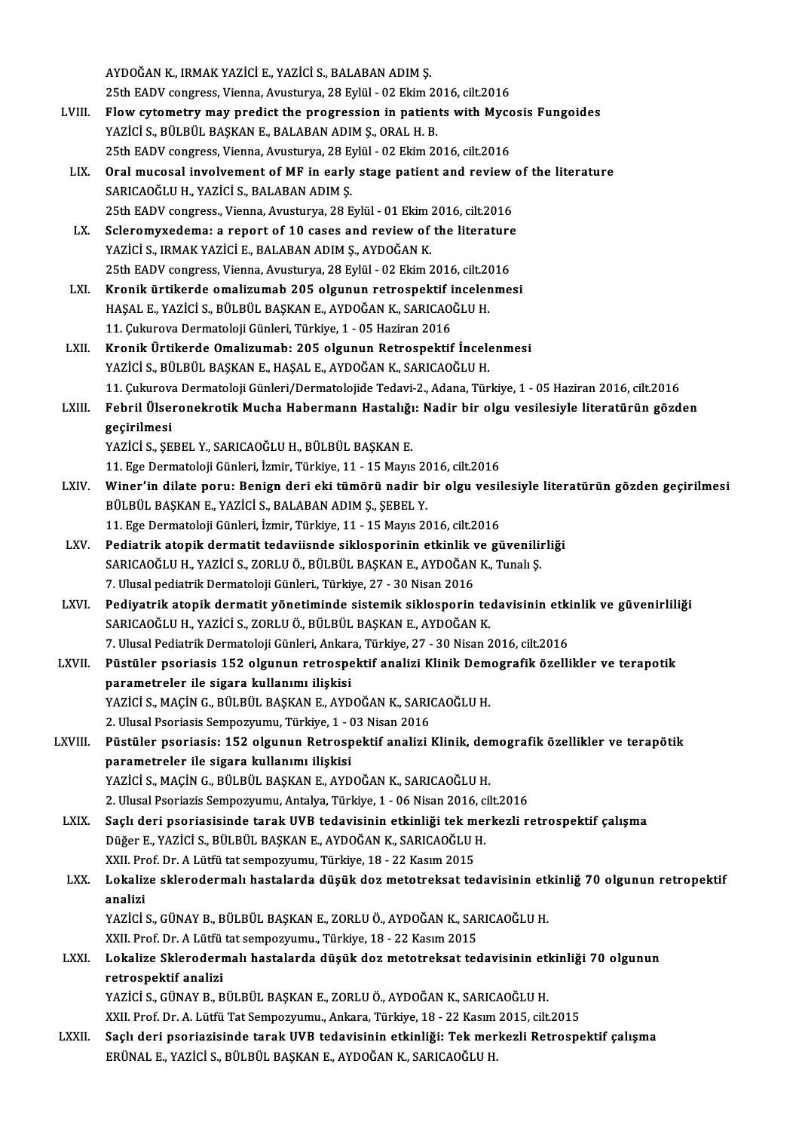AYDOĞANK., IRMAKYAZİCİE.,YAZİCİ S.,BALABANADIMŞ. AYDOĞAN K., IRMAK YAZİCİ E., YAZİCİ S., BALABAN ADIM Ş.<br>25th EADV congress, Vienna, Avusturya, 28 Eylül - 02 Ekim 2016, cilt.2016<br>Elow sytemetry may predist the prespession in patients with Myse AYDOĞAN K., IRMAK YAZİCİ E., YAZİCİ S., BALABAN ADIM Ş.<br>25th EADV congress, Vienna, Avusturya, 28 Eylül - 02 Ekim 2016, cilt.2016<br>LVIII. Flow cytometry may predict the progression in patients with Mycosis Fungoides<br>VAZİCİ 25th EADV congress, Vienna, Avusturya, 28 Eylül - 02 Ekim 20<br>Flow cytometry may predict the progression in patien<br>YAZİCİ S., BÜLBÜL BAŞKAN E., BALABAN ADIM Ş., ORAL H. B.<br>25th EADV songress Vienna, Avusturya, 29 Eylül - 02 Flow cytometry may predict the progression in patients with Mycc<br>YAZİCİ S., BÜLBÜL BAŞKAN E., BALABAN ADIM Ş., ORAL H. B.<br>25th EADV congress, Vienna, Avusturya, 28 Eylül - 02 Ekim 2016, cilt.2016<br>Oral musesal involvement o

- YAZİCİ S., BÜLBÜL BAŞKAN E., BALABAN ADIM Ş., ORAL H. B.<br>25th EADV congress, Vienna, Avusturya, 28 Eylül 02 Ekim 2016, cilt.2016<br>LIX. Oral mucosal involvement of MF in early stage patient and review of the literature 25th EADV congress, Vienna, Avusturya, 28 Eylül - 02 Ekim 2016, cilt.2016<br>Oral mucosal involvement of MF in early stage patient and review<br>SARICAOĞLU H., YAZİCİ S., BALABAN ADIM Ş.<br>25th EADV congress., Vienna, Avusturya, 2 Oral mucosal involvement of MF in early stage patient and review<br>SARICAOĞLU H., YAZİCİ S., BALABAN ADIM Ş.<br>25th EADV congress., Vienna, Avusturya, 28 Eylül - 01 Ekim 2016, cilt.2016<br>Seleremuyedema: a report of 10 seese and SARICAOĞLU H., YAZİCİ S., BALABAN ADIM Ş.<br>25th EADV congress., Vienna, Avusturya, 28 Eylül - 01 Ekim 2016, cilt.2016<br>LX. Scleromyxedema: a report of 10 cases and review of the literature<br>24ZİCİ S. IBMAK YAZİCİ E. BALABAN A
- 25th EADV congress., Vienna, Avusturya, 28 Eylül 01 Ekim :<br>Scleromyxedema: a report of 10 cases and review of<br>YAZİCİ S., IRMAK YAZİCİ E., BALABAN ADIM Ş., AYDOĞAN K.<br>25th EADV congress. Vienna, Avusturya, 29 Eylül 02 E Scleromyxedema: a report of 10 cases and review of the literature<br>YAZİCİ S., IRMAK YAZİCİ E., BALABAN ADIM Ş., AYDOĞAN K.<br>25th EADV congress, Vienna, Avusturya, 28 Eylül - 02 Ekim 2016, cilt.2016<br>Kronik ürtikarde emelizume YAZİCİ S., IRMAK YAZİCİ E., BALABAN ADIM Ş., AYDOĞAN K.<br>25th EADV congress, Vienna, Avusturya, 28 Eylül - 02 Ekim 2016, cilt.2016<br>LXI. Kronik ürtikerde omalizumab 205 olgunun retrospektif incelenmesi
- HAŞAL E., YAZİCİ S., BÜLBÜL BAŞKAN E., AYDOĞAN K., SARICAOĞLU H. 11.ÇukurovaDermatolojiGünleri,Türkiye,1 -05Haziran2016 HAŞAL E., YAZİCİ S., BÜLBÜL BAŞKAN E., AYDOĞAN K., SARICAOĞLU H.<br>11. Çukurova Dermatoloji Günleri, Türkiye, 1 - 05 Haziran 2016<br>LXII. Kronik Ürtikerde Omalizumab: 205 olgunun Retrospektif İncelenmesi<br>YAZİCİ S. PÜLPÜL PASKA
- 11. Çukurova Dermatoloji Günleri, Türkiye, 1 05 Haziran 2016<br>Kronik Ürtikerde Omalizumab: 205 olgunun Retrospektif İncele<br>YAZİCİ S., BÜLBÜL BAŞKAN E., HAŞAL E., AYDOĞAN K., SARICAOĞLU H.<br>11. Culuneva Dermateleji Günleri Kronik Ürtikerde Omalizumab: 205 olgunun Retrospektif İncelenmesi<br>YAZİCİ S., BÜLBÜL BAŞKAN E., HAŞAL E., AYDOĞAN K., SARICAOĞLU H.<br>11. Çukurova Dermatoloji Günleri/Dermatolojide Tedavi-2., Adana, Türkiye, 1 - 05 Haziran 20
- YAZİCİ S., BÜLBÜL BAŞKAN E., HAŞAL E., AYDOĞAN K., SARICAOĞLU H.<br>11. Çukurova Dermatoloji Günleri/Dermatolojide Tedavi-2., Adana, Türkiye, 1 05 Haziran 2016, cilt.2016<br>1. Febril Ülseronekrotik Mucha Habermann Hastalığı: 11. Çukurova<br>Febril Ülsen<br>geçirilmesi<br>VAZİÇİ S. SE

YAZİCİ S., ŞEBEL Y., SARICAOĞLU H., BÜLBÜL BAŞKAN E.

- 11.EgeDermatolojiGünleri, İzmir,Türkiye,11 -15Mayıs2016, cilt.2016
- LXIV. Winer'in dilate poru: Benign deri eki tümörü nadir bir olgu vesilesiyle literatürün gözden geçirilmesi BÜLBÜL BAŞKAN E., YAZİCİ S., BALABAN ADIM Ş., ŞEBEL Y. 11.EgeDermatolojiGünleri, İzmir,Türkiye,11 -15Mayıs2016, cilt.2016
- LXV. Pediatrik atopik dermatit tedaviisnde siklosporinin etkinlik ve güvenilirliği 11. Ege Dermatoloji Günleri, İzmir, Türkiye, 11 - 15 Mayıs 2016, cilt.2016<br>Pediatrik atopik dermatit tedaviisnde siklosporinin etkinlik ve güvenilii<br>SARICAOĞLU H., YAZİCİ S., ZORLU Ö., BÜLBÜL BAŞKAN E., AYDOĞAN K., Tunalı Pediatrik atopik dermatit tedaviisnde siklosporinin etkinlik v<br>SARICAOĞLU H., YAZİCİ S., ZORLU Ö., BÜLBÜL BAŞKAN E., AYDOĞAN<br>7. Ulusal pediatrik Dermatoloji Günleri., Türkiye, 27 - 30 Nisan 2016<br>Bediyetrik atopik dermatit SARICAOĞLU H., YAZİCİ S., ZORLU Ö., BÜLBÜL BAŞKAN E., AYDOĞAN K., Tunalı Ş.<br>7. Ulusal pediatrik Dermatoloji Günleri, Türkiye, 27 - 30 Nisan 2016<br>LXVI. Pediyatrik atopik dermatit yönetiminde sistemik siklosporin tedavis
- 7. Ulusal pediatrik Dermatoloji Günleri., Türkiye, 27 30 Nisan 2016<br>Pediyatrik atopik dermatit yönetiminde sistemik siklosporin tedavisinin etk<br>SARICAOĞLU H., YAZİCİ S., ZORLU Ö., BÜLBÜL BAŞKAN E., AYDOĞAN K.<br>7. Ulusal P Pediyatrik atopik dermatit yönetiminde sistemik siklosporin tedavisinin etki<br>SARICAOĞLU H., YAZİCİ S., ZORLU Ö., BÜLBÜL BAŞKAN E., AYDOĞAN K.<br>7. Ulusal Pediatrik Dermatoloji Günleri, Ankara, Türkiye, 27 - 30 Nisan 2016, ci SARICAOĞLU H., YAZİCİ S., ZORLU Ö., BÜLBÜL BAŞKAN E., AYDOĞAN K.<br>7. Ulusal Pediatrik Dermatoloji Günleri, Ankara, Türkiye, 27 - 30 Nisan 2016, cilt.2016<br>1. LXVII. Püstüler psoriasis 152 olgunun retrospektif analizi Klinik
- parametreler ile sigara kullanımı ilişkisi Püstüler psoriasis 152 olgunun retrospektif analizi Klinik Dem<br>parametreler ile sigara kullanımı ilişkisi<br>YAZİCİ S., MAÇİN G., BÜLBÜL BAŞKAN E., AYDOĞAN K., SARICAOĞLU H.<br>2. Ulusel Peeriasis Semnezuumu, Türkiye 1, 03 Nisan YAZİCİ S., MAÇİN G., BÜLBÜL BAŞKAN E., AYDOĞAN K., SARICAOĞLU H.<br>2. Ulusal Psoriasis Sempozyumu, Türkiye, 1 - 03 Nisan 2016 YAZİCİ S., MAÇİN G., BÜLBÜL BAŞKAN E., AYDOĞAN K., SARICAOĞLU H.<br>2. Ulusal Psoriasis: Sempozyumu, Türkiye, 1 - 03 Nisan 2016<br>LXVIII. Püstüler psoriasis: 152 olgunun Retrospektif analizi Klinik, demografik özellikler ve
- 2. Ulusal Psoriasis Sempozyumu, Türkiye, 1 (<br>Püstüler psoriasis: 152 olgunun Retrosp<br>parametreler ile sigara kullanımı ilişkisi<br>YAZİÇİ S. MAÇİN G. PÜL PÜL PASKAN E. AVD parametreler ile sigara kullanımı ilişkisi<br>YAZİCİ S., MAÇİN G., BÜLBÜL BAŞKAN E., AYDOĞAN K., SARICAOĞLU H. parametreler ile sigara kullanımı ilişkisi<br>YAZİCİ S., MAÇİN G., BÜLBÜL BAŞKAN E., AYDOĞAN K., SARICAOĞLU H.<br>2. Ulusal Psoriazis Sempozyumu, Antalya, Türkiye, 1 - 06 Nisan 2016, cilt.2016<br>Saslı dari psoriasisinde tarak UVP
	-
- YAZİCİ S., MAÇİN G., BÜLBÜL BAŞKAN E., AYDOĞAN K., SARICAOĞLU H.<br>2. Ulusal Psoriazis Sempozyumu, Antalya, Türkiye, 1 06 Nisan 2016, cilt.2016<br>2. Saçlı deri psoriasisinde tarak UVB tedavisinin etkinliği tek merkezli retro 2. Ulusal Psoriazis Sempozyumu, Antalya, Türkiye, 1 - 06 Nisan 2016, c.<br>Saçlı deri psoriasisinde tarak UVB tedavisinin etkinliği tek mer<br>Düğer E., YAZİCİ S., BÜLBÜL BAŞKAN E., AYDOĞAN K., SARICAOĞLU H.<br>YYU Prof. Dr. A Lütf Saçlı deri psoriasisinde tarak UVB tedavisinin etkinliği tek m<br>Düğer E., YAZİCİ S., BÜLBÜL BAŞKAN E., AYDOĞAN K., SARICAOĞLU I<br>XXII. Prof. Dr. A Lütfü tat sempozyumu, Türkiye, 18 - 22 Kasım 2015<br>Lokalize sklaredermalı başt Düğer E., YAZİCİ S., BÜLBÜL BAŞKAN E., AYDOĞAN K., SARICAOĞLU H.<br>XXII. Prof. Dr. A Lütfü tat sempozyumu, Türkiye, 18 - 22 Kasım 2015<br>LXX. Lokalize sklerodermalı hastalarda düşük doz metotreksat tedavisinin etkinliğ 70
- XXII. Prof. Dr. A Lütfü tat sempozyumu, Türkiye, 18 22 Kasım 2015<br>Lokalize sklerodermalı hastalarda düşük doz metotreksat te<br>analizi Lokalize sklerodermalı hastalarda düşük doz metotreksat tedavisinin etl<br>analizi<br>YAZİCİ S., GÜNAY B., BÜLBÜL BAŞKAN E., ZORLU Ö., AYDOĞAN K., SARICAOĞLU H.<br>YYU Praf Dr. A Lütfü tat semnezununu. Türkiye 19, 22 Kesun 2015

YAZİCİ S., GÜNAY B., BÜLBÜL BAŞKAN E., ZORLU Ö., AYDOĞAN K., SARICAOĞLU H.<br>XXII. Prof. Dr. A Lütfü tat sempozyumu., Türkiye, 18 - 22 Kasım 2015

## YAZİCİ S., GÜNAY B., BÜLBÜL BAŞKAN E., ZORLU Ö., AYDOĞAN K., SARICAOĞLU H.<br>XXII. Prof. Dr. A Lütfü tat sempozyumu., Türkiye, 18 - 22 Kasım 2015<br>LXXI. Lokalize Sklerodermalı hastalarda düşük doz metotreksat tedavisinin etki retrospektif analizi<br>YAZİCİ S., GÜNAY B., BÜLBÜL BASKAN E., ZORLU Ö., AYDOĞAN K., SARICAOĞLU H. Lokalize Sklerodermalı hastalarda düşük doz metotreksat tedavisinin etl<br>retrospektif analizi<br>YAZİCİ S., GÜNAY B., BÜLBÜL BAŞKAN E., ZORLU Ö., AYDOĞAN K., SARICAOĞLU H.<br>YYU Pref Dr. A. Lütfü Tet Semnezuumu, Ankara Türkiye 1 retrospektif analizi<br>YAZİCİ S., GÜNAY B., BÜLBÜL BAŞKAN E., ZORLU Ö., AYDOĞAN K., SARICAOĞLU H.<br>XXII. Prof. Dr. A. Lütfü Tat Sempozyumu., Ankara, Türkiye, 18 - 22 Kasım 2015, cilt.2015<br>Seeli deri neoniezisinde tarak UVB te

LXXII. Saçlı deri psoriazisinde tarak UVB tedavisinin etkinliği: Tek merkezli Retrospektif çalışma<br>ERÜNAL E., YAZİCİ S., BÜLBÜL BAŞKAN E., AYDOĞAN K., SARICAOĞLU H. XXII. Prof. Dr. A. Lütfü Tat Sempozyumu., Ankara, Türkiye, 18 - 22 Kasım<br>Saçlı deri psoriazisinde tarak UVB tedavisinin etkinliği: Tek mer<br>ERÜNAL E., YAZİCİ S., BÜLBÜL BAŞKAN E., AYDOĞAN K., SARICAOĞLU H.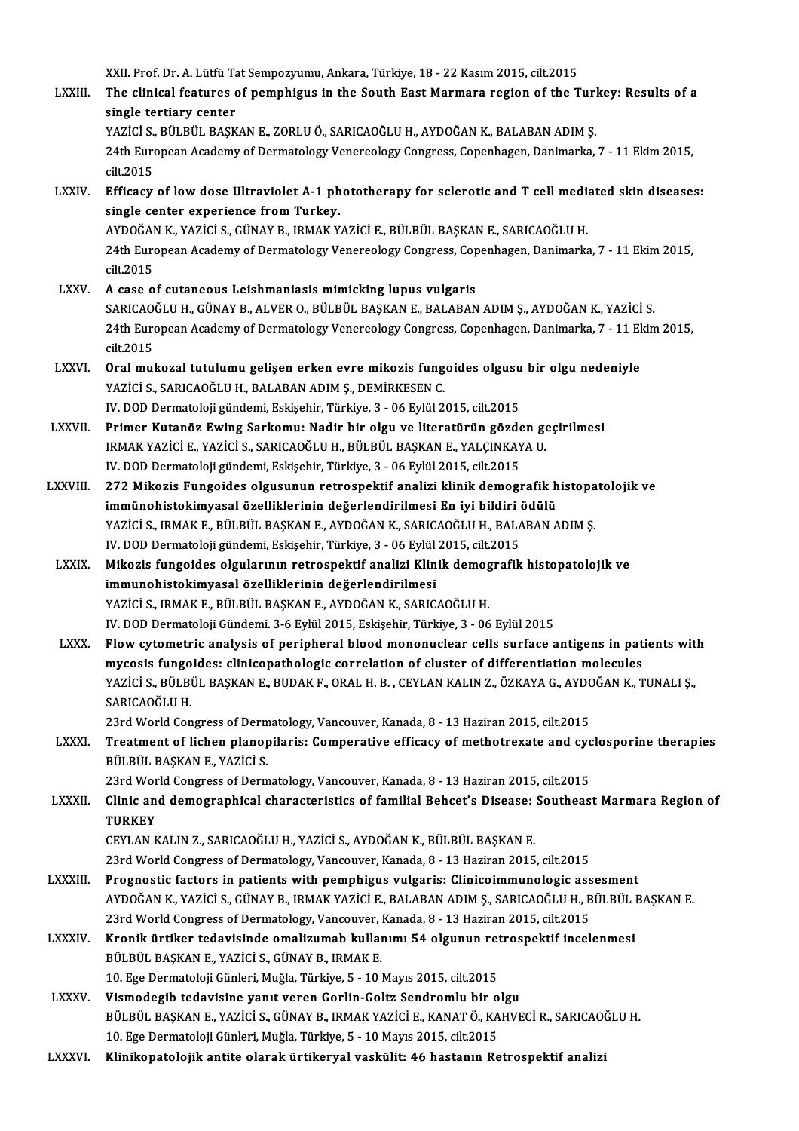XXII. Prof. Dr. A. Lütfü Tat Sempozyumu, Ankara, Türkiye, 18 - 22 Kasım 2015, cilt.2015<br>The elinisel features of nomphisus in the South Feat Marmara region of the T LXXIII. The clinical features of pemphigus in the South East Marmara region of the Turkey: Results of a<br>single tertiary center XXII. Prof. Dr. A. Lütfü Ta<br>The clinical features<br>single tertiary center<br>YAZİÇİ S. PÜLPÜL PASK The clinical features of pemphigus in the South East Marmara region of the Turl<br>single tertiary center<br>YAZİCİ S., BÜLBÜL BAŞKAN E., ZORLU Ö., SARICAOĞLU H., AYDOĞAN K., BALABAN ADIM Ş.<br>24th European Asadamy of Dermatalagu 24th European Academy of Dermatology Venereology Congress, Copenhagen, Danimarka, 7 - 11 Ekim 2015, cilt.2015 YAZİCİ S.,<br>24th Euro<br>cilt.2015 24th European Academy of Dermatology Venereology Congress, Copenhagen, Danimarka, 7 - 11 Ekim 2015,<br>cilt.2015<br>LXXIV. Efficacy of low dose Ultraviolet A-1 phototherapy for sclerotic and T cell mediated skin diseases:<br>single cilt.2015<br>Efficacy of low dose Ultraviolet A-1 ph<br>single center experience from Turkey.<br>AYDOČAN K. YAZİCİ S. CÜNAY P. IBMAK.Y Efficacy of low dose Ultraviolet A-1 phototherapy for sclerotic and T cell media<br>single center experience from Turkey.<br>AYDOĞAN K., YAZİCİ S., GÜNAY B., IRMAK YAZİCİ E., BÜLBÜL BAŞKAN E., SARICAOĞLU H.<br>24th European Acedemy single center experience from Turkey.<br>AYDOĞAN K., YAZİCİ S., GÜNAY B., IRMAK YAZİCİ E., BÜLBÜL BAŞKAN E., SARICAOĞLU H.<br>24th European Academy of Dermatology Venereology Congress, Copenhagen, Danimarka, 7 - 11 Ekim 2015,<br>si AYDOĞAN<br>24th Euro<br>cilt.2015 LXXV. A case of cutaneous Leishmaniasismimicking lupus vulgaris SARICAOĞLUH.,GÜNAYB.,ALVERO.,BÜLBÜLBAŞKANE.,BALABANADIMŞ.,AYDOĞANK.,YAZİCİ S. A case of cutaneous Leishmaniasis mimicking lupus vulgaris<br>SARICAOĞLU H., GÜNAY B., ALVER O., BÜLBÜL BAŞKAN E., BALABAN ADIM Ş., AYDOĞAN K., YAZİCİ S.<br>24th European Academy of Dermatology Venereology Congress, Copenhagen, SARICAO<br>24th Euro<br>cilt.2015<br>Orel mul 24th European Academy of Dermatology Venereology Congress, Copenhagen, Danimarka, 7 - 11 El<br>cilt.2015<br>LXXVI. Oral mukozal tutulumu gelişen erken evre mikozis fungoides olgusu bir olgu nedeniyle<br>VAZİÇİ S.SARICAQĞU ILH, RALA cilt.2015<br>Oral mukozal tutulumu gelişen erken evre mikozis fung<br>YAZİCİ S., SARICAOĞLU H., BALABAN ADIM Ş., DEMİRKESEN C.<br>IV. DOD Dermateleji gündemi Eskişebir Türkiye 3., 06 Evlül 2. Oral mukozal tutulumu gelişen erken evre mikozis fungoides olgusu<br>YAZİCİ S., SARICAOĞLU H., BALABAN ADIM Ş., DEMİRKESEN C.<br>IV. DOD Dermatoloji gündemi, Eskişehir, Türkiye, 3 - 06 Eylül 2015, cilt.2015<br>Primar Kutanës Eving YAZİCİ S., SARICAOĞLU H., BALABAN ADIM Ş., DEMİRKESEN C.<br>IV. DOD Dermatoloji gündemi, Eskişehir, Türkiye, 3 - 06 Eylül 2015, cilt.2015<br>LXXVII. Primer Kutanöz Ewing Sarkomu: Nadir bir olgu ve literatürün gözden geçirilm IV. DOD Dermatoloji gündemi, Eskişehir, Türkiye, 3 - 06 Eylül 2015, cilt.2015<br>Primer Kutanöz Ewing Sarkomu: Nadir bir olgu ve literatürün gözden ge<br>IRMAK YAZİCİ E., YAZİCİ S., SARICAOĞLU H., BÜLBÜL BAŞKAN E., YALÇINKAYA U. Primer Kutanöz Ewing Sarkomu: Nadir bir olgu ve literatürün gözde<br>IRMAK YAZİCİ E., YAZİCİ S., SARICAOĞLU H., BÜLBÜL BAŞKAN E., YALÇINKAY<br>IV. DOD Dermatoloji gündemi, Eskişehir, Türkiye, 3 - 06 Eylül 2015, cilt.2015<br>272 Mik IV. DOD Dermatoloji gündemi, Eskişehir, Türkiye, 3 - 06 Eylül 2015, cilt.2015<br>LXXVIII. 272 Mikozis Fungoides olgusunun retrospektif analizi klinik demografik histopatolojik ve IV. DOD Dermatoloji gündemi, Eskişehir, Türkiye, 3 - 06 Eylül 2015, cilt.2015<br>272 Mikozis Fungoides olgusunun retrospektif analizi klinik demografik h<br>immünohistokimyasal özelliklerinin değerlendirilmesi En iyi bildiri ödü 272 Mikozis Fungoides olgusunun retrospektif analizi klinik demografik histopa<br>immünohistokimyasal özelliklerinin değerlendirilmesi En iyi bildiri ödülü<br>YAZİCİ S., IRMAK E., BÜLBÜL BAŞKAN E., AYDOĞAN K., SARICAOĞLU H., BAL immünohistokimyasal özelliklerinin değerlendirilmesi En iyi bildiri<br>YAZİCİ S., IRMAK E., BÜLBÜL BAŞKAN E., AYDOĞAN K., SARICAOĞLU H., BALA<br>IV. DOD Dermatoloji gündemi, Eskişehir, Türkiye, 3 - 06 Eylül 2015, cilt.2015<br>Mikoz YAZİCİ S., IRMAK E., BÜLBÜL BAŞKAN E., AYDOĞAN K., SARICAOĞLU H., BALABAN ADIM Ş.<br>IV. DOD Dermatoloji gündemi, Eskişehir, Türkiye, 3 - 06 Eylül 2015, cilt.2015<br>LXXIX. Mikozis fungoides olgularının retrospektif analizi Klin IV. DOD Dermatoloji gündemi, Eskişehir, Türkiye, 3 - 06 Eylül 2015, cilt.2015<br>Mikozis fungoides olgularının retrospektif analizi Klinik demografik<br>immunohistokimyasal özelliklerinin değerlendirilmesi<br>YAZİCİ S., IRMAK E., B Mikozis fungoides olgularının retrospektif analizi Klinik demografik histopatolojik ve IV. DOD Dermatoloji Gündemi. 3-6 Eylül 2015, Eskişehir, Türkiye, 3 - 06 Eylül 2015 YAZİCİ S., IRMAK E., BÜLBÜL BAŞKAN E., AYDOĞAN K., SARICAOĞLU H.<br>IV. DOD Dermatoloji Gündemi. 3-6 Eylül 2015, Eskişehir, Türkiye, 3 - 06 Eylül 2015<br>LXXX. Plow cytometric analysis of peripheral blood mononuclear cells surfa IV. DOD Dermatoloji Gündemi. 3-6 Eylül 2015, Eskişehir, Türkiye, 3 - 06 Eylül 2015<br>Flow cytometric analysis of peripheral blood mononuclear cells surface antigens in pat<br>mycosis fungoides: clinicopathologic correlation of Flow cytometric analysis of peripheral blood mononuclear cells surface antigens in patients wit<br>mycosis fungoides: clinicopathologic correlation of cluster of differentiation molecules<br>YAZİCİ S., BÜLBÜL BAŞKAN E., BUDAK F. mycosis fungo<br>YAZİCİ S., BÜLBI<br>SARICAOĞLU H.<br>22rd Warld Can YAZİCİ S., BÜLBÜL BAŞKAN E., BUDAK F., ORAL H. B. , CEYLAN KALIN Z., ÖZKAYA G., AYDO<br>SARICAOĞLU H.<br>23rd World Congress of Dermatology, Vancouver, Kanada, 8 - 13 Haziran 2015, cilt.2015<br>Treatment of lisben planenileris: Com SARICAOĞLU H.<br>23rd World Congress of Dermatology, Vancouver, Kanada, 8 - 13 Haziran 2015, cilt.2015<br>23rd World Congress of Dermatology, Vancouver, Kanada, 8 - 13 Haziran 2015, cilt.2015<br>25 Pill Pill PASKAN E. VAZici S 23rd World Congress of Dermatology, Vancouver, Kanada, 8 - 13 Haziran 2015, cilt.2015<br>Treatment of lichen planopilaris: Comperative efficacy of methotrexate and cy<br>BÜLBÜL BAŞKAN E., YAZİCİ S.<br>23rd World Congress of Dermato Treatment of lichen planopilaris: Comperative efficacy of methotrexate and cyc<br>BÜLBÜL BAŞKAN E., YAZİCİ S.<br>23rd World Congress of Dermatology, Vancouver, Kanada, 8 - 13 Haziran 2015, cilt.2015<br>Clinis and demographical shar BÜLBÜL BAŞKAN E., YAZİCİ S.<br>23rd World Congress of Dermatology, Vancouver, Kanada, 8 - 13 Haziran 2015, cilt.2015<br>23. LXXXII. Clinic and demographical characteristics of familial Behcet's Disease: Southeast Marmara Reg 23rd Wor<br>Clinic an<br>TURKEY<br>CEVLAN B Clinic and demographical characteristics of familial Behcet's Disease:<br>TURKEY<br>CEYLAN KALIN Z., SARICAOĞLU H., YAZİCİ S., AYDOĞAN K., BÜLBÜL BAŞKAN E.<br>22rd World Congress of Dermatelogy Venseyyer, Kanada 8, 12 Hegiran 2015 TURKEY<br>CEYLAN KALIN Z., SARICAOĞLU H., YAZİCİ S., AYDOĞAN K., BÜLBÜL BAŞKAN E.<br>23rd World Congress of Dermatology, Vancouver, Kanada, 8 - 13 Haziran 2015, cilt.2015 CEYLAN KALIN Z., SARICAOĞLU H., YAZİCİ S., AYDOĞAN K., BÜLBÜL BAŞKAN E.<br>23rd World Congress of Dermatology, Vancouver, Kanada, 8 - 13 Haziran 2015, cilt.2015<br>23rd World Congress of Dermatology, Vancouver, Kanada, 8 - 13 Ha 23rd World Congress of Dermatology, Vancouver, Kanada, 8 - 13 Haziran 2015, cilt.2015<br>Prognostic factors in patients with pemphigus vulgaris: Clinicoimmunologic assesment<br>AYDOĞAN K., YAZİCİ S., GÜNAY B., IRMAK YAZİCİ E., B Prognostic factors in patients with pemphigus vulgaris: Clinicoimmunologic ass<br>AYDOĞAN K., YAZİCİ S., GÜNAY B., IRMAK YAZİCİ E., BALABAN ADIM Ş., SARICAOĞLU H., B<br>23rd World Congress of Dermatology, Vancouver, Kanada, 8 - AYDOĞAN K., YAZİCİ S., GÜNAY B., IRMAK YAZİCİ E., BALABAN ADIM Ş., SARICAOĞLU H., BÜLBÜL I<br>23rd World Congress of Dermatology, Vancouver, Kanada, 8 - 13 Haziran 2015, cilt.2015<br>2XXXIV. Kronik ürtiker tedavisinde omalizumab 23rd World Congress of Dermatology, Vancouver, Kanada, 8 - 13 Haziran 2015, cilt.2015<br>Kronik ürtiker tedavisinde omalizumab kullanımı 54 olgunun retrospektif incelenmesi<br>BÜLBÜL BAŞKAN E., YAZİCİ S., GÜNAY B., IRMAK E. 10.EgeDermatolojiGünleri,Muğla,Türkiye,5 -10Mayıs2015, cilt.2015 BÜLBÜL BAŞKAN E., YAZİCİ S., GÜNAY B., IRMAK E.<br>10. Ege Dermatoloji Günleri, Muğla, Türkiye, 5 - 10 Mayıs 2015, cilt.2015<br>LXXXV. Vismodegib tedavisine yanıt veren Gorlin-Goltz Sendromlu bir olgu<br>PÜLPÜL PASKAN E. XAZİÇİ BÜLBÜL BAŞKAN E., YAZİCİ S., GÜNAY B., IRMAK YAZİCİ E., KANAT Ö., KAHVECİ R., SARICAOĞLU H.<br>10. Ege Dermatoloji Günleri, Muğla, Türkiye, 5 - 10 Mayıs 2015, cilt.2015 Vismodegib tedavisine yanıt veren Gorlin-Goltz Sendromlu bir o<br>BÜLBÜL BAŞKAN E., YAZİCİ S., GÜNAY B., IRMAK YAZİCİ E., KANAT Ö., KA<br>10. Ege Dermatoloji Günleri, Muğla, Türkiye, 5 - 10 Mayıs 2015, cilt.2015<br>Klinikonatolojik LXXXVI. Klinikopatolojik antite olarak ürtikeryal vaskülit: 46 hastanın Retrospektif analizi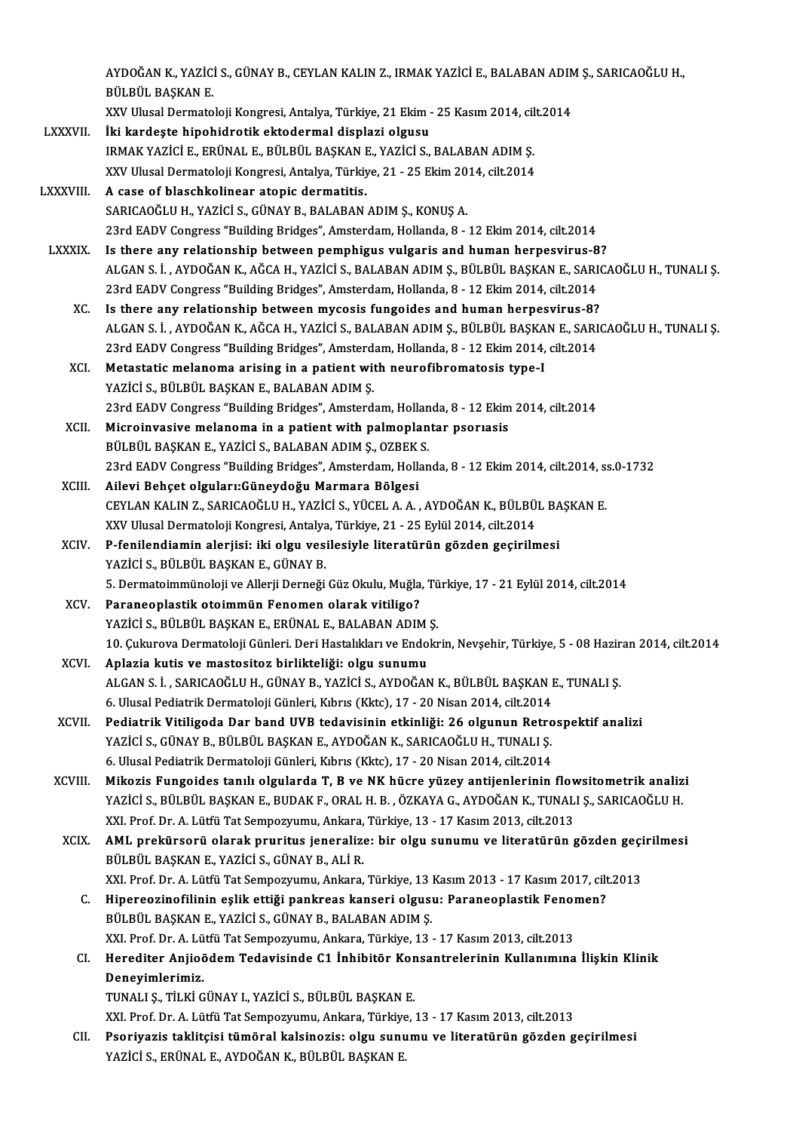AYDOĞAN K., YAZİCİ S., GÜNAY B., CEYLAN KALIN Z., IRMAK YAZİCİ E., BALABAN ADIM Ş., SARICAOĞLU H.,<br>PÜLPÜL PASKAN E AYDOĞAN K., YAZİC.<br>BÜLBÜL BAŞKAN E.<br>YYV Ulugal Dermate AYDOĞAN K., YAZİCİ S., GÜNAY B., CEYLAN KALIN Z., IRMAK YAZİCİ E., BALABAN ADIN<br>BÜLBÜL BAŞKAN E.<br>XXV Ulusal Dermatoloji Kongresi, Antalya, Türkiye, 21 Ekim - 25 Kasım 2014, cilt.2014<br>İli kardeste binebidretik ektedermel di

- BÜLBÜL BAŞKAN E.<br>XXV Ulusal Dermatoloji Kongresi, Antalya, Türkiye, 21 Ekim -<br>LXXXVII. İki kardeşte hipohidrotik ektodermal displazi olgusu XXV Ulusal Dermatoloji Kongresi, Antalya, Türkiye, 21 Ekim - 25 Kasım 2014, cil<br>İki kardeşte hipohidrotik ektodermal displazi olgusu<br>IRMAK YAZİCİ E., ERÜNAL E., BÜLBÜL BAŞKAN E., YAZİCİ S., BALABAN ADIM Ş.<br>XXV Ulusal Derma İki kardeşte hipohidrotik ektodermal displazi olgusu<br>IRMAK YAZİCİ E., ERÜNAL E., BÜLBÜL BAŞKAN E., YAZİCİ S., BALABAN ADIM Ş. XXV Ulusal Dermatoloji Kongresi, Antalya, Türkiye, 21 - 25 Ekim 2014, cilt.2014
- LXXXVIII. A case of blaschkolinear atopic dermatitis.<br>SARICAOĞLU H., YAZİCİ S., GÜNAY B., BALABAN ADIM Ş., KONUŞ A. 23rdEADVCongress "BuildingBridges",Amsterdam,Holanda,8 -12Ekim2014, cilt.2014 SARICAOĞLU H., YAZİCİ S., GÜNAY B., BALABAN ADIM Ş., KONUŞ A.<br>23rd EADV Congress "Building Bridges", Amsterdam, Hollanda, 8 - 12 Ekim 2014, cilt.2014<br>1. LXXXIX. Is there any relationship between pemphigus vulgaris and huma
	- ALGAN S. İ. , AYDOĞAN K., AĞCA H., YAZİCİ S., BALABAN ADIM Ş., BÜLBÜL BAŞKAN E., SARICAOĞLU H., TUNALI Ş.<br>23rd EADV Congress "Building Bridges", Amsterdam, Hollanda, 8 12 Ekim 2014, cilt.2014 Is there any relationship between pemphigus vulgaris and human herpesvirus-8<br>ALGAN S. İ. , AYDOĞAN K., AĞCA H., YAZİCİ S., BALABAN ADIM Ş., BÜLBÜL BAŞKAN E., SARI<br>23rd EADV Congress "Building Bridges", Amsterdam, Hollanda,
		- XC. Is there any relationship betweenmycosis fungoides and human herpesvirus-8? 23rd EADV Congress "Building Bridges", Amsterdam, Hollanda, 8 - 12 Ekim 2014, cilt.2014<br>Is there any relationship between mycosis fungoides and human herpesvirus-8?<br>ALGAN S. İ. , AYDOĞAN K., AĞCA H., YAZİCİ S., BALABAN ADI Is there any relationship between mycosis fungoides and human herpesvirus-8?<br>ALGAN S. İ. , AYDOĞAN K., AĞCA H., YAZİCİ S., BALABAN ADIM Ş., BÜLBÜL BAŞKAN E., SARI<br>23rd EADV Congress "Building Bridges", Amsterdam, Hollanda, ALGAN S. İ. , AYDOĞAN K., AĞCA H., YAZİCİ S., BALABAN ADIM Ş., BÜLBÜL BAŞKA<br>23rd EADV Congress "Building Bridges", Amsterdam, Hollanda, 8 - 12 Ekim 2014,<br>XCI. Metastatic melanoma arising in a patient with neurofibromatosis
		- 23rd EADV Congress "Building Bridges", Amsterdam, Hollanda, 8 12 Ekim 2014, cilt.2014<br>Metastatic melanoma arising in a patient with neurofibromatosis type-I<br>YAZİCİ S., BÜLBÜL BAŞKAN E., BALABAN ADIM Ş. 23rdEADVCongress "BuildingBridges",Amsterdam,Holanda,8 -12Ekim2014, cilt.2014
		- XCII. Microinvasive melanoma in a patient with palmoplantar psoriasis 23rd EADV Congress "Building Bridges", Amsterdam, Hollan<br>Microinvasive melanoma in a patient with palmoplan<br>BÜLBÜL BAŞKAN E., YAZİCİ S., BALABAN ADIM Ş., OZBEK S.<br>22rd EADV Congrees "Building Bridges", Amsterdam, Hollan 23rd EADV Congress "Building Bridges", Amsterdam, Hollanda, 8 - 12 Ekim 2014, cilt.2014, ss.0-1732<br>Ailevi Behçet olguları:Güneydoğu Marmara Bölgesi BÜLBÜL BAŞKAN E., YAZİCİ S., BALABAN ADIM Ş., OZBEK<br>23rd EADV Congress "Building Bridges", Amsterdam, Holla<br>XCIII. Ailevi Behçet olguları:Güneydoğu Marmara Bölgesi<br>CEVLAN KALIN Z. SARICAQĞLILH, YAZİCİ S. YÜCEL A.A.
		- 23rd EADV Congress "Building Bridges", Amsterdam, Hollanda, 8 12 Ekim 2014, cilt.2014, s:<br>Ailevi Behçet olguları:Güneydoğu Marmara Bölgesi<br>CEYLAN KALIN Z., SARICAOĞLU H., YAZİCİ S., YÜCEL A. A. , AYDOĞAN K., BÜLBÜL BAŞKA Ailevi Behçet olguları:Güneydoğu Marmara Bölgesi<br>CEYLAN KALIN Z., SARICAOĞLU H., YAZİCİ S., YÜCEL A. A. , AYDOĞAN K., BÜLBÜ<br>XXV Ulusal Dermatoloji Kongresi, Antalya, Türkiye, 21 - 25 Eylül 2014, cilt.2014<br>B. fanilandiamin CEYLAN KALIN Z., SARICAOĞLU H., YAZİCİ S., YÜCEL A. A. , AYDOĞAN K., BÜLBÜL BA<br>XXV Ulusal Dermatoloji Kongresi, Antalya, Türkiye, 21 - 25 Eylül 2014, cilt.2014<br>XCIV. P-fenilendiamin alerjisi: iki olgu vesilesiyle literatür
		- XXV Ulusal Dermatoloji Kongresi, Antalya<br><mark>P-fenilendiamin alerjisi: iki olgu ves</mark><br>YAZİCİ S., BÜLBÜL BAŞKAN E., GÜNAY B.<br>5. Dermateimmüneleji ve Allerji Derneği P-fenilendiamin alerjisi: iki olgu vesilesiyle literatürün gözden geçirilmesi<br>YAZİCİ S., BÜLBÜL BAŞKAN E., GÜNAY B.<br>5. Dermatoimmünoloji ve Allerji Derneği Güz Okulu, Muğla, Türkiye, 17 - 21 Eylül 2014, cilt.2014<br>Paranoonl YAZİCİ S., BÜLBÜL BAŞKAN E., GÜNAY B.<br>5. Dermatoimmünoloji ve Allerji Derneği Güz Okulu, Muğla, Türkiye, 17 - 21 Eylül 2014, cilt.2014<br>XCV. Paraneoplastik otoimmün Fenomen olarak vitiligo?
		- 5. Dermatoimmünoloji ve Allerji Derneği Güz Okulu, Muğla, Tü<br><mark>Paraneoplastik otoimmün Fenomen olarak vitiligo?</mark><br>YAZİCİ S., BÜLBÜL BAŞKAN E., ERÜNAL E., BALABAN ADIM Ş.<br>10. Culuyova Dermatoloji Günleri, Deri Hestelikler, ve 10. Çukurova Dermatoloji Günleri. Deri Hastalıkları ve Endokrin, Nevşehir, Türkiye, 5 - 08 Haziran 2014, cilt.2014<br>Aplazia kutis ve mastositoz birlikteliği: olgu sunumu YAZİCİ S., BÜLBÜL BAŞKAN E., ERÜNAL E., BALABAN ADIM<br>10. Çukurova Dermatoloji Günleri. Deri Hastalıkları ve Endo<br>XCVI. Aplazia kutis ve mastositoz birlikteliği: olgu sunumu<br>ALCAN S.İ. SARICAQČLUH, CÜNAV B. VAZİCİ S. AVDOĞA
		- 10. Çukurova Dermatoloji Günleri. Deri Hastalıkları ve Endokrin, Nevşehir, Türkiye, 5 08 Hazir<br>Aplazia kutis ve mastositoz birlikteliği: olgu sunumu<br>ALGAN S. İ. , SARICAOĞLU H., GÜNAY B., YAZİCİ S., AYDOĞAN K., BÜLBÜL BA Aplazia kutis ve mastositoz birlikteliği: olgu sunumu<br>ALGAN S. İ. , SARICAOĞLU H., GÜNAY B., YAZİCİ S., AYDOĞAN K., BÜLBÜL BAŞKAN I<br>6. Ulusal Pediatrik Dermatoloji Günleri, Kıbrıs (Kktc), 17 - 20 Nisan 2014, cilt.2014<br>Pedi ALGAN S. İ. , SARICAOĞLU H., GÜNAY B., YAZİCİ S., AYDOĞAN K., BÜLBÜL BAŞKAN E., TUNALI Ş.<br>6. Ulusal Pediatrik Dermatoloji Günleri, Kıbrıs (Kktc), 17 - 20 Nisan 2014, cilt.2014<br>XCVII. Pediatrik Vitiligoda Dar band UVB tedav
	- 6. Ulusal Pediatrik Dermatoloji Günleri, Kıbrıs (Kktc), 17 20 Nisan 2014, cilt.2014<br>Pediatrik Vitiligoda Dar band UVB tedavisinin etkinliği: 26 olgunun Retro<br>YAZİCİ S., GÜNAY B., BÜLBÜL BAŞKAN E., AYDOĞAN K., SARICAOĞLU Pediatrik Vitiligoda Dar band UVB tedavisinin etkinliği: 26 olgunun Retro<br>YAZİCİ S., GÜNAY B., BÜLBÜL BAŞKAN E., AYDOĞAN K., SARICAOĞLU H., TUNALI Ş.<br>6. Ulusal Pediatrik Dermatoloji Günleri, Kıbrıs (Kktc), 17 - 20 Nisan 20
	- 6. Ulusal Pediatrik Dermatoloji Günleri, Kıbrıs (Kktc), 17 20 Nisan 2014, cilt.2014<br>XCVIII. Mikozis Fungoides tanılı olgularda T, B ve NK hücre yüzey antijenlerinin flowsitometrik analizi 6. Ulusal Pediatrik Dermatoloji Günleri, Kıbrıs (Kktc), 17 - 20 Nisan 2014, cilt.2014<br>Mikozis Fungoides tanılı olgularda T, B ve NK hücre yüzey antijenlerinin flowsitometrik analiz<br>YAZİCİ S., BÜLBÜL BAŞKAN E., BUDAK F., OR Mikozis Fungoides tanılı olgularda T, B ve NK hücre yüzey antijenlerinin flov<br>YAZİCİ S., BÜLBÜL BAŞKAN E., BUDAK F., ORAL H. B. , ÖZKAYA G., AYDOĞAN K., TUNAL<br>XXI. Prof. Dr. A. Lütfü Tat Sempozyumu, Ankara, Türkiye, 13 - 1 YAZİCİ S., BÜLBÜL BAŞKAN E., BUDAK F., ORAL H. B. , ÖZKAYA G., AYDOĞAN K., TUNALI Ş., SARICAOĞLU H.<br>XXI. Prof. Dr. A. Lütfü Tat Sempozyumu, Ankara, Türkiye, 13 - 17 Kasım 2013, cilt.2013<br>XCIX. AML prekürsorü olarak pruritu
		- XXI. Prof. Dr. A. Lütfü Tat Sempozyumu, Ankara, Türkiye, 13 17 Kasım 2013, cilt. 2013<br>XCIX. AML prekürsorü olarak pruritus jeneralize: bir olgu sunumu ve literatürün gözden geçirilmesi<br>BÜLBÜL BAŞKAN E., YAZİCİ S., GÜNAY AML prekürsorü olarak pruritus jeneralize: bir olgu sunumu ve literatürün gözden geçi<br>BÜLBÜL BAŞKAN E., YAZİCİ S., GÜNAY B., ALİ R.<br>XXI. Prof. Dr. A. Lütfü Tat Sempozyumu, Ankara, Türkiye, 13 Kasım 2013 - 17 Kasım 2017, ci
			- BÜLBÜL BAŞKAN E., YAZİCİ S., GÜNAY B., ALİ R.<br>XXI. Prof. Dr. A. Lütfü Tat Sempozyumu, Ankara, Türkiye, 13 Kasım 2013 17 Kasım 2017, cilt<br>C. Hipereozinofilinin eşlik ettiği pankreas kanseri olgusu: Paraneoplastik Fenomen? XXI. Prof. Dr. A. Lütfü Tat Sempozyumu, Ankara, Türkiye, 13 |<br>Hipereozinofilinin eşlik ettiği pankreas kanseri olgusı<br>BÜLBÜL BAŞKAN E., YAZİCİ S., GÜNAY B., BALABAN ADIM Ş.<br>YYL Prof. Dr. A. Lütfü Tet Sempozyumu, Ankara, Tü C. Hipereozinofilinin eşlik ettiği pankreas kanseri olgusu: Paraneoplastik Fenomen?<br>BÜLBÜL BAŞKAN E., YAZİCİ S., GÜNAY B., BALABAN ADIM S. XXI. Prof. Dr. A. Lütfü Tat Sempozyumu, Ankara, Türkiye, 13 - 17 Kasım 2013, cilt.2013
			- CI. Herediter Anjioödem Tedavisinde C1 İnhibitör Konsantrelerinin Kullanımına İlişkin Klinik<br>Deneyimlerimiz.

```
TUNALI Ş., TİLKİ GÜNAY I., YAZİCİ S., BÜLBÜL BAŞKAN E.
```
XXI.Prof.Dr.A.LütfüTatSempozyumu,Ankara,Türkiye,13 -17Kasım2013, cilt.2013

TUNALI Ș., TİLKİ GÜNAY I., YAZİCİ S., BÜLBÜL BAŞKAN E.<br>XXI. Prof. Dr. A. Lütfü Tat Sempozyumu, Ankara, Türkiye, 13 - 17 Kasım 2013, cilt.2013<br>CII. Psoriyazis taklitçisi tümöral kalsinozis: olgu sunumu ve literatürün gözden XXI. Prof. Dr. A. Lütfü Tat Sempozyumu, Ankara, Türkiye<br><mark>Psoriyazis taklitçisi tümöral kalsinozis: olgu sun</mark>u<br>YAZİCİ S., ERÜNAL E., AYDOĞAN K., BÜLBÜL BAŞKAN E.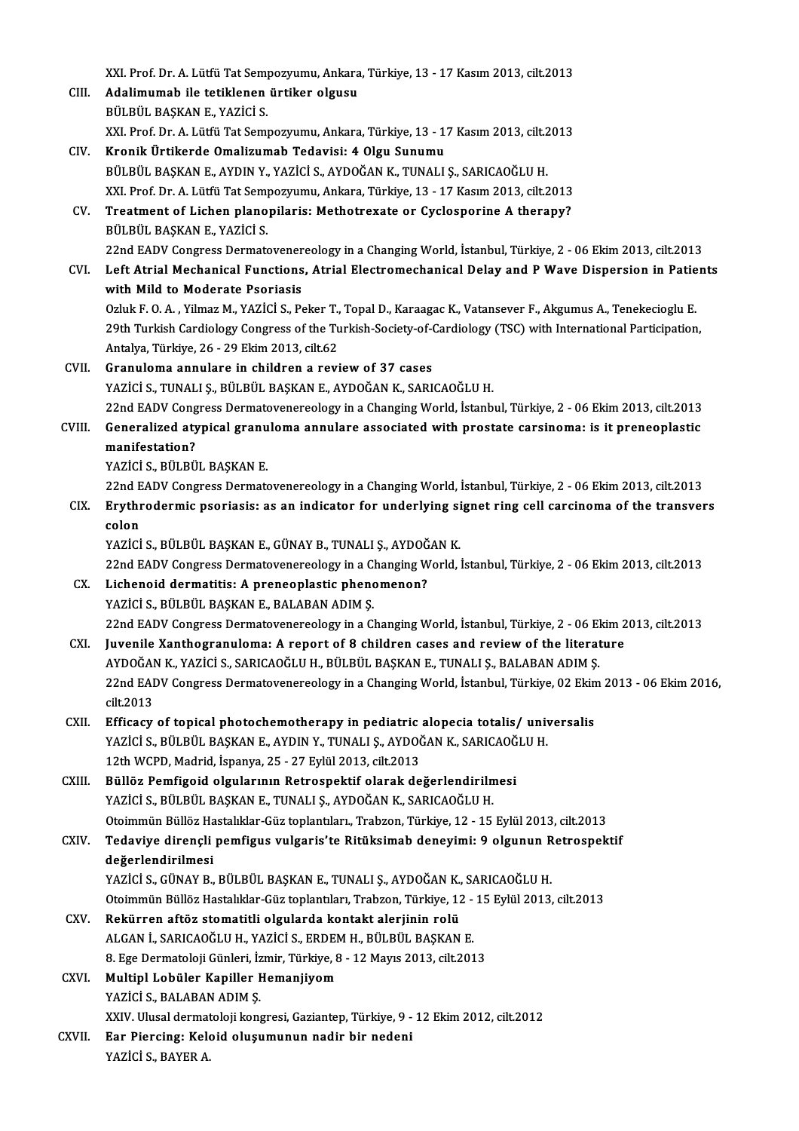|        | XXI. Prof. Dr. A. Lütfü Tat Sempozyumu, Ankara, Türkiye, 13 - 17 Kasım 2013, cilt.2013                                                                                               |
|--------|--------------------------------------------------------------------------------------------------------------------------------------------------------------------------------------|
| CIII.  | Adalimumab ile tetiklenen ürtiker olgusu                                                                                                                                             |
|        | BÜLBÜL BAŞKAN E., YAZİCİ S.                                                                                                                                                          |
|        | XXI. Prof. Dr. A. Lütfü Tat Sempozyumu, Ankara, Türkiye, 13 - 17 Kasım 2013, cilt.2013                                                                                               |
| CIV.   | Kronik Ürtikerde Omalizumab Tedavisi: 4 Olgu Sunumu                                                                                                                                  |
|        | BÜLBÜL BAŞKAN E., AYDIN Y., YAZİCİ S., AYDOĞAN K., TUNALI Ş., SARICAOĞLU H.                                                                                                          |
|        | XXI. Prof. Dr. A. Lütfü Tat Sempozyumu, Ankara, Türkiye, 13 - 17 Kasım 2013, cilt.2013                                                                                               |
| CV.    | Treatment of Lichen planopilaris: Methotrexate or Cyclosporine A therapy?<br>BÜLBÜL BAŞKAN E, YAZİCİ S                                                                               |
|        | 22nd EADV Congress Dermatovenereology in a Changing World, İstanbul, Türkiye, 2 - 06 Ekim 2013, cilt.2013                                                                            |
| CVI.   | Left Atrial Mechanical Functions, Atrial Electromechanical Delay and P Wave Dispersion in Patients<br>with Mild to Moderate Psoriasis                                                |
|        | Ozluk F. O. A., Yilmaz M., YAZİCİ S., Peker T., Topal D., Karaagac K., Vatansever F., Akgumus A., Tenekecioglu E.                                                                    |
|        | 29th Turkish Cardiology Congress of the Turkish-Society-of-Cardiology (TSC) with International Participation,                                                                        |
|        | Antalya, Türkiye, 26 - 29 Ekim 2013, cilt.62                                                                                                                                         |
| CVII.  | Granuloma annulare in children a review of 37 cases                                                                                                                                  |
|        | YAZİCİ S., TUNALI Ş., BÜLBÜL BAŞKAN E., AYDOĞAN K., SARICAOĞLU H.                                                                                                                    |
|        | 22nd EADV Congress Dermatovenereology in a Changing World, İstanbul, Türkiye, 2 - 06 Ekim 2013, cilt.2013                                                                            |
| CVIII. | Generalized atypical granuloma annulare associated with prostate carsinoma: is it preneoplastic                                                                                      |
|        | manifestation?<br>YAZİCİ S., BÜLBÜL BAŞKAN E.                                                                                                                                        |
|        | 22nd EADV Congress Dermatovenereology in a Changing World, İstanbul, Türkiye, 2 - 06 Ekim 2013, cilt.2013                                                                            |
| CIX.   | Erythrodermic psoriasis: as an indicator for underlying signet ring cell carcinoma of the transvers                                                                                  |
|        | colon                                                                                                                                                                                |
|        | YAZİCİ S., BÜLBÜL BAŞKAN E., GÜNAY B., TUNALI Ş., AYDOĞAN K.                                                                                                                         |
|        | 22nd EADV Congress Dermatovenereology in a Changing World, İstanbul, Türkiye, 2 - 06 Ekim 2013, cilt.2013                                                                            |
| CX.    | Lichenoid dermatitis: A preneoplastic phenomenon?                                                                                                                                    |
|        | YAZİCİ S., BÜLBÜL BAŞKAN E., BALABAN ADIM Ş.                                                                                                                                         |
|        | 22nd EADV Congress Dermatovenereology in a Changing World, İstanbul, Türkiye, 2 - 06 Ekim 2013, cilt.2013                                                                            |
| CXI.   | Juvenile Xanthogranuloma: A report of 8 children cases and review of the literature                                                                                                  |
|        | AYDOĞAN K., YAZİCİ S., SARICAOĞLU H., BÜLBÜL BAŞKAN E., TUNALI Ş., BALABAN ADIM Ş.                                                                                                   |
|        | 22nd EADV Congress Dermatovenereology in a Changing World, İstanbul, Türkiye, 02 Ekim 2013 - 06 Ekim 2016,                                                                           |
|        | cilt 2013                                                                                                                                                                            |
| CXII.  | Efficacy of topical photochemotherapy in pediatric alopecia totalis/ universalis                                                                                                     |
|        | YAZİCİ S., BÜLBÜL BAŞKAN E., AYDIN Y., TUNALI Ş., AYDOĞAN K., SARICAOĞLU H.                                                                                                          |
|        | 12th WCPD, Madrid, İspanya, 25 - 27 Eylül 2013, cilt.2013                                                                                                                            |
| CXIII. | Büllöz Pemfigoid olgularının Retrospektif olarak değerlendirilmesi                                                                                                                   |
|        | YAZİCİ S., BÜLBÜL BAŞKAN E., TUNALI Ş., AYDOĞAN K., SARICAOĞLU H.                                                                                                                    |
| CXIV.  | Otoimmün Büllöz Hastalıklar-Güz toplantıları., Trabzon, Türkiye, 12 - 15 Eylül 2013, cilt.2013<br>Tedaviye dirençli pemfigus vulgaris'te Ritüksimab deneyimi: 9 olgunun Retrospektif |
|        | değerlendirilmesi                                                                                                                                                                    |
|        | YAZİCİ S., GÜNAY B., BÜLBÜL BAŞKAN E., TUNALI Ş., AYDOĞAN K., SARICAOĞLU H.                                                                                                          |
|        | Otoimmün Büllöz Hastalıklar-Güz toplantıları, Trabzon, Türkiye, 12 - 15 Eylül 2013, cilt.2013                                                                                        |
| CXV.   | Rekürren aftöz stomatitli olgularda kontakt alerjinin rolü                                                                                                                           |
|        | ALGAN İ., SARICAOĞLU H., YAZİCİ S., ERDEM H., BÜLBÜL BAŞKAN E.                                                                                                                       |
|        | 8. Ege Dermatoloji Günleri, İzmir, Türkiye, 8 - 12 Mayıs 2013, cilt.2013                                                                                                             |
| CXVI.  | Multipl Lobüler Kapiller Hemanjiyom                                                                                                                                                  |
|        | YAZİCİ S., BALABAN ADIM Ş.                                                                                                                                                           |
|        | XXIV. Ulusal dermatoloji kongresi, Gaziantep, Türkiye, 9 - 12 Ekim 2012, cilt.2012                                                                                                   |
| CXVII. | Ear Piercing: Keloid oluşumunun nadir bir nedeni                                                                                                                                     |
|        | YAZİCİ S., BAYER A                                                                                                                                                                   |
|        |                                                                                                                                                                                      |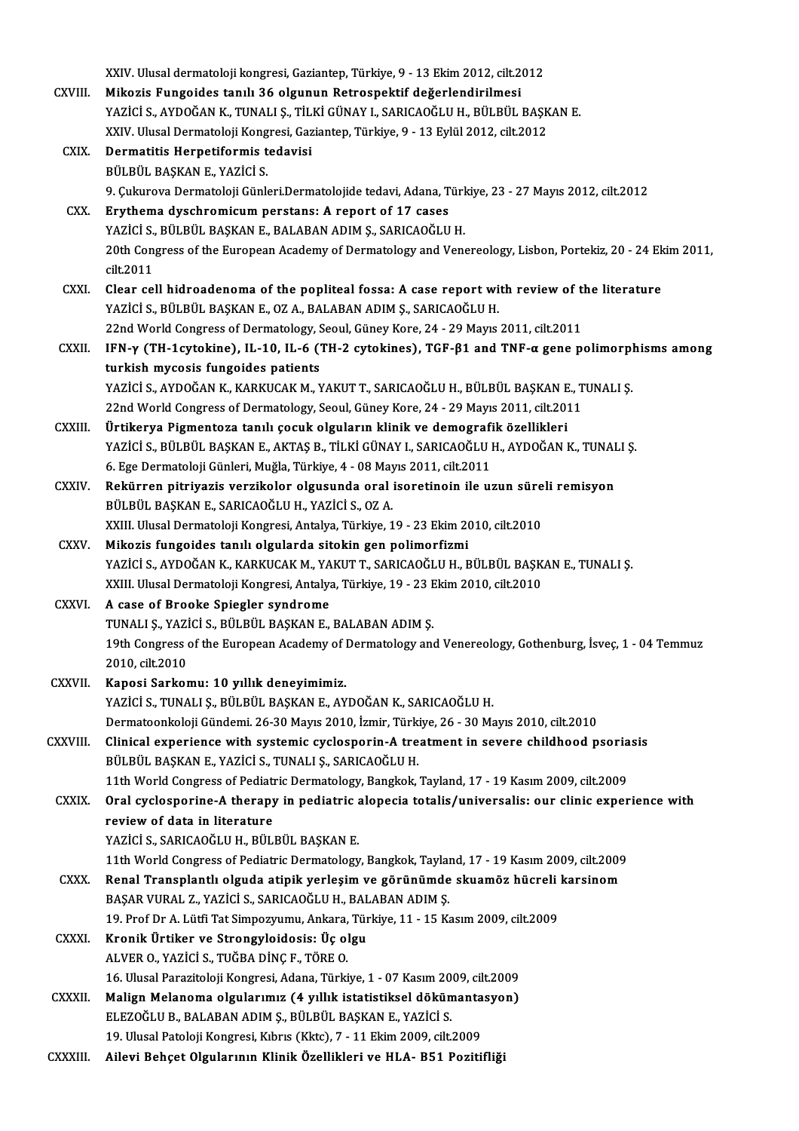|               | XXIV. Ulusal dermatoloji kongresi, Gaziantep, Türkiye, 9 - 13 Ekim 2012, cilt.2012                                                                                                                 |
|---------------|----------------------------------------------------------------------------------------------------------------------------------------------------------------------------------------------------|
| CXVIII.       | Mikozis Fungoides tanılı 36 olgunun Retrospektif değerlendirilmesi                                                                                                                                 |
|               | YAZİCİ S., AYDOĞAN K., TUNALI Ş., TİLKİ GÜNAY I., SARICAOĞLU H., BÜLBÜL BAŞKAN E.                                                                                                                  |
|               | XXIV. Ulusal Dermatoloji Kongresi, Gaziantep, Türkiye, 9 - 13 Eylül 2012, cilt.2012                                                                                                                |
| CXIX.         | Dermatitis Herpetiformis tedavisi                                                                                                                                                                  |
|               | BÜLBÜL BAŞKAN E., YAZİCİ S.                                                                                                                                                                        |
|               | 9. Çukurova Dermatoloji Günleri Dermatolojide tedavi, Adana, Türkiye, 23 - 27 Mayıs 2012, cilt.2012                                                                                                |
| CXX.          | Erythema dyschromicum perstans: A report of 17 cases                                                                                                                                               |
|               | YAZİCİ S., BÜLBÜL BAŞKAN E., BALABAN ADIM Ş., SARICAOĞLU H.                                                                                                                                        |
|               | 20th Congress of the European Academy of Dermatology and Venereology, Lisbon, Portekiz, 20 - 24 Ekim 2011,                                                                                         |
|               | cilt 2011                                                                                                                                                                                          |
| <b>CXXI</b>   | Clear cell hidroadenoma of the popliteal fossa: A case report with review of the literature                                                                                                        |
|               | YAZİCİ S., BÜLBÜL BAŞKAN E., OZ A., BALABAN ADIM Ş., SARICAOĞLU H.                                                                                                                                 |
|               | 22nd World Congress of Dermatology, Seoul, Güney Kore, 24 - 29 Mayıs 2011, cilt.2011                                                                                                               |
| CXXII.        | IFN-γ (TH-1cytokine), IL-10, IL-6 (TH-2 cytokines), TGF-β1 and TNF-α gene polimorphisms among                                                                                                      |
|               | turkish mycosis fungoides patients                                                                                                                                                                 |
|               | YAZİCİ S., AYDOĞAN K., KARKUCAK M., YAKUT T., SARICAOĞLU H., BÜLBÜL BAŞKAN E., TUNALI Ş.                                                                                                           |
|               | 22nd World Congress of Dermatology, Seoul, Güney Kore, 24 - 29 Mayıs 2011, cilt.2011                                                                                                               |
| CXXIII.       | Ürtikerya Pigmentoza tanılı çocuk olguların klinik ve demografik özellikleri                                                                                                                       |
|               | YAZİCİ S., BÜLBÜL BAŞKAN E., AKTAŞ B., TİLKİ GÜNAY I., SARICAOĞLU H., AYDOĞAN K., TUNALI Ş.                                                                                                        |
|               | 6. Ege Dermatoloji Günleri, Muğla, Türkiye, 4 - 08 Mayıs 2011, cilt.2011                                                                                                                           |
| CXXIV.        | Rekürren pitriyazis verzikolor olgusunda oral isoretinoin ile uzun süreli remisyon                                                                                                                 |
|               | BÜLBÜL BAŞKAN E., SARICAOĞLU H., YAZİCİ S., OZ A.                                                                                                                                                  |
|               | XXIII. Ulusal Dermatoloji Kongresi, Antalya, Türkiye, 19 - 23 Ekim 2010, cilt.2010                                                                                                                 |
| <b>CXXV</b>   | Mikozis fungoides tanılı olgularda sitokin gen polimorfizmi                                                                                                                                        |
|               | YAZİCİ S., AYDOĞAN K., KARKUCAK M., YAKUT T., SARICAOĞLU H., BÜLBÜL BAŞKAN E., TUNALI Ş.                                                                                                           |
|               | XXIII. Ulusal Dermatoloji Kongresi, Antalya, Türkiye, 19 - 23 Ekim 2010, cilt.2010                                                                                                                 |
| <b>CXXVI</b>  | A case of Brooke Spiegler syndrome                                                                                                                                                                 |
|               | TUNALI Ş., YAZİCİ S., BÜLBÜL BAŞKAN E., BALABAN ADIM Ş.                                                                                                                                            |
|               | 19th Congress of the European Academy of Dermatology and Venereology, Gothenburg, İsveç, 1 - 04 Temmuz                                                                                             |
|               | 2010, cilt.2010                                                                                                                                                                                    |
| CXXVII.       | Kaposi Sarkomu: 10 yıllık deneyimimiz.                                                                                                                                                             |
|               | YAZİCİ S., TUNALI Ş., BÜLBÜL BAŞKAN E., AYDOĞAN K., SARICAOĞLU H.                                                                                                                                  |
|               | Dermatoonkoloji Gündemi. 26-30 Mayıs 2010, İzmir, Türkiye, 26 - 30 Mayıs 2010, cilt.2010                                                                                                           |
| CXXVIII.      | Clinical experience with systemic cyclosporin-A treatment in severe childhood psoriasis                                                                                                            |
|               | BÜLBÜL BAŞKAN E., YAZİCİ S., TUNALI Ş., SARICAOĞLU H.                                                                                                                                              |
| CXXIX.        | 11th World Congress of Pediatric Dermatology, Bangkok, Tayland, 17 - 19 Kasım 2009, cilt.2009<br>Oral cyclosporine-A therapy in pediatric alopecia totalis/universalis: our clinic experience with |
|               | review of data in literature                                                                                                                                                                       |
|               | YAZİCİ S., SARICAOĞLU H., BÜLBÜL BAŞKAN E.                                                                                                                                                         |
|               | 11th World Congress of Pediatric Dermatology, Bangkok, Tayland, 17 - 19 Kasım 2009, cilt.2009                                                                                                      |
| CXXX.         | Renal Transplantlı olguda atipik yerleşim ve görünümde skuamöz hücreli karsinom                                                                                                                    |
|               | BAŞAR VURAL Z., YAZİCİ S., SARICAOĞLU H., BALABAN ADIM Ş.                                                                                                                                          |
|               | 19. Prof Dr A. Lütfi Tat Simpozyumu, Ankara, Türkiye, 11 - 15 Kasım 2009, cilt.2009                                                                                                                |
| <b>CXXXI</b>  | Kronik Ürtiker ve Strongyloidosis: Üç olgu                                                                                                                                                         |
|               | ALVER O., YAZİCİ S., TUĞBA DİNÇ F., TÖRE O.                                                                                                                                                        |
|               | 16. Ulusal Parazitoloji Kongresi, Adana, Türkiye, 1 - 07 Kasım 2009, cilt.2009                                                                                                                     |
| <b>CXXXII</b> | Malign Melanoma olgularımız (4 yıllık istatistiksel dökümantasyon)                                                                                                                                 |
|               | ELEZOĞLU B., BALABAN ADIM Ş., BÜLBÜL BAŞKAN E., YAZİCİ S.                                                                                                                                          |
|               | 19. Ulusal Patoloji Kongresi, Kıbrıs (Kktc), 7 - 11 Ekim 2009, cilt 2009                                                                                                                           |
| CXXXIII.      | Ailevi Behçet Olgularının Klinik Özellikleri ve HLA- B51 Pozitifliği                                                                                                                               |
|               |                                                                                                                                                                                                    |